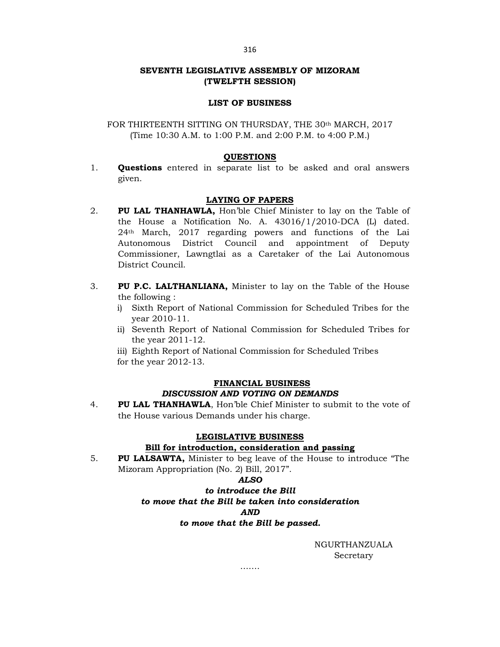# SEVENTH LEGISLATIVE ASSEMBLY OF MIZORAM (TWELFTH SESSION)

## LIST OF BUSINESS

FOR THIRTEENTH SITTING ON THURSDAY, THE 30th MARCH, 2017 (Time 10:30 A.M. to 1:00 P.M. and 2:00 P.M. to 4:00 P.M.)

### QUESTIONS

1. Questions entered in separate list to be asked and oral answers given.

## LAYING OF PAPERS

- 2. PU LAL THANHAWLA, Hon'ble Chief Minister to lay on the Table of the House a Notification No. A. 43016/1/2010-DCA (L) dated. 24th March, 2017 regarding powers and functions of the Lai Autonomous District Council and appointment of Deputy Commissioner, Lawngtlai as a Caretaker of the Lai Autonomous District Council.
- 3. PU P.C. LALTHANLIANA, Minister to lay on the Table of the House the following :
	- i) Sixth Report of National Commission for Scheduled Tribes for the year 2010-11.
	- ii) Seventh Report of National Commission for Scheduled Tribes for the year 2011-12.
	- iii) Eighth Report of National Commission for Scheduled Tribes for the year 2012-13.

#### FINANCIAL BUSINESS

# DISCUSSION AND VOTING ON DEMANDS

4. PU LAL THANHAWLA, Hon'ble Chief Minister to submit to the vote of the House various Demands under his charge.

#### LEGISLATIVE BUSINESS

## Bill for introduction, consideration and passing

5. PU LALSAWTA, Minister to beg leave of the House to introduce "The Mizoram Appropriation (No. 2) Bill, 2017".

#### ALSO

# to introduce the Bill to move that the Bill be taken into consideration AND to move that the Bill be passed.

……

NGURTHANZUALA Secretary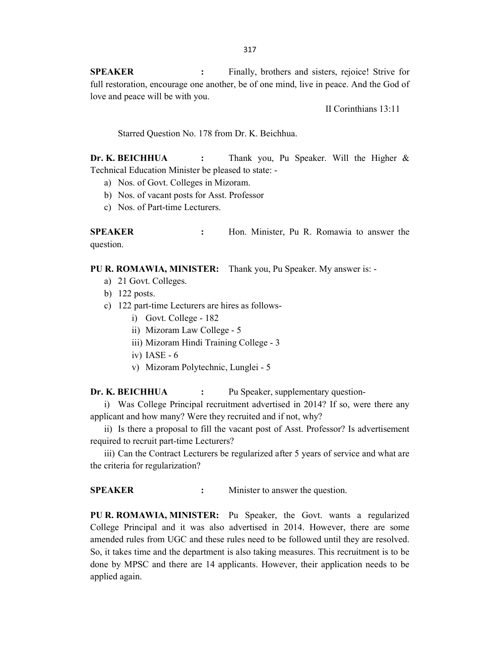SPEAKER : Finally, brothers and sisters, rejoice! Strive for full restoration, encourage one another, be of one mind, live in peace. And the God of love and peace will be with you.

II Corinthians 13:11

Starred Question No. 178 from Dr. K. Beichhua.

Dr. K. BEICHHUA : Thank you, Pu Speaker. Will the Higher & Technical Education Minister be pleased to state: -

- a) Nos. of Govt. Colleges in Mizoram.
- b) Nos. of vacant posts for Asst. Professor
- c) Nos. of Part-time Lecturers.

SPEAKER : Hon. Minister, Pu R. Romawia to answer the question.

PU R. ROMAWIA, MINISTER: Thank you, Pu Speaker. My answer is: -

- a) 21 Govt. Colleges.
- b) 122 posts.
- c) 122 part-time Lecturers are hires as follows
	- i) Govt. College 182
	- ii) Mizoram Law College 5
	- iii) Mizoram Hindi Training College 3
	- iv) IASE 6
	- v) Mizoram Polytechnic, Lunglei 5

Dr. K. BEICHHUA : Pu Speaker, supplementary question-

i) Was College Principal recruitment advertised in 2014? If so, were there any applicant and how many? Were they recruited and if not, why?

ii) Is there a proposal to fill the vacant post of Asst. Professor? Is advertisement required to recruit part-time Lecturers?

iii) Can the Contract Lecturers be regularized after 5 years of service and what are the criteria for regularization?

SPEAKER : Minister to answer the question.

PU R. ROMAWIA, MINISTER: Pu Speaker, the Govt. wants a regularized College Principal and it was also advertised in 2014. However, there are some amended rules from UGC and these rules need to be followed until they are resolved. So, it takes time and the department is also taking measures. This recruitment is to be done by MPSC and there are 14 applicants. However, their application needs to be applied again.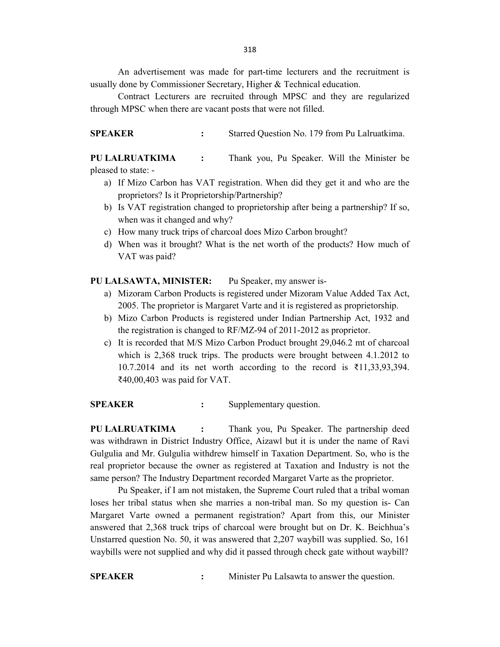318

 An advertisement was made for part-time lecturers and the recruitment is usually done by Commissioner Secretary, Higher & Technical education.

 Contract Lecturers are recruited through MPSC and they are regularized through MPSC when there are vacant posts that were not filled.

SPEAKER : Starred Question No. 179 from Pu Lalruatkima.

PU LALRUATKIMA : Thank you, Pu Speaker. Will the Minister be pleased to state: -

- a) If Mizo Carbon has VAT registration. When did they get it and who are the proprietors? Is it Proprietorship/Partnership?
- b) Is VAT registration changed to proprietorship after being a partnership? If so, when was it changed and why?
- c) How many truck trips of charcoal does Mizo Carbon brought?
- d) When was it brought? What is the net worth of the products? How much of VAT was paid?

### PU LALSAWTA, MINISTER: Pu Speaker, my answer is-

- a) Mizoram Carbon Products is registered under Mizoram Value Added Tax Act, 2005. The proprietor is Margaret Varte and it is registered as proprietorship.
- b) Mizo Carbon Products is registered under Indian Partnership Act, 1932 and the registration is changed to RF/MZ-94 of 2011-2012 as proprietor.
- c) It is recorded that M/S Mizo Carbon Product brought 29,046.2 mt of charcoal which is 2,368 truck trips. The products were brought between 4.1.2012 to 10.7.2014 and its net worth according to the record is ₹11,33,93,394. ₹40,00,403 was paid for VAT.

SPEAKER : Supplementary question.

PU LALRUATKIMA : Thank you, Pu Speaker. The partnership deed was withdrawn in District Industry Office, Aizawl but it is under the name of Ravi Gulgulia and Mr. Gulgulia withdrew himself in Taxation Department. So, who is the real proprietor because the owner as registered at Taxation and Industry is not the same person? The Industry Department recorded Margaret Varte as the proprietor.

Pu Speaker, if I am not mistaken, the Supreme Court ruled that a tribal woman loses her tribal status when she marries a non-tribal man. So my question is- Can Margaret Varte owned a permanent registration? Apart from this, our Minister answered that 2,368 truck trips of charcoal were brought but on Dr. K. Beichhua's Unstarred question No. 50, it was answered that 2,207 waybill was supplied. So, 161 waybills were not supplied and why did it passed through check gate without waybill?

SPEAKER : Minister Pu Lalsawta to answer the question.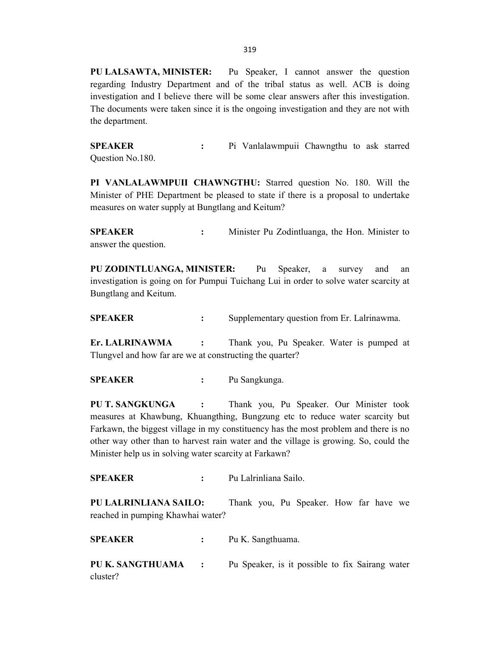PU LALSAWTA, MINISTER: Pu Speaker, I cannot answer the question regarding Industry Department and of the tribal status as well. ACB is doing investigation and I believe there will be some clear answers after this investigation. The documents were taken since it is the ongoing investigation and they are not with the department.

SPEAKER : Pi Vanlalawmpuii Chawngthu to ask starred Question No.180.

PI VANLALAWMPUII CHAWNGTHU: Starred question No. 180. Will the Minister of PHE Department be pleased to state if there is a proposal to undertake measures on water supply at Bungtlang and Keitum?

SPEAKER : Minister Pu Zodintluanga, the Hon. Minister to answer the question.

PU ZODINTLUANGA, MINISTER: Pu Speaker, a survey and an investigation is going on for Pumpui Tuichang Lui in order to solve water scarcity at Bungtlang and Keitum.

SPEAKER : Supplementary question from Er. Lalrinawma.

Er. LALRINAWMA : Thank you, Pu Speaker. Water is pumped at Tlungvel and how far are we at constructing the quarter?

SPEAKER : Pu Sangkunga.

PU T. SANGKUNGA : Thank you, Pu Speaker. Our Minister took measures at Khawbung, Khuangthing, Bungzung etc to reduce water scarcity but Farkawn, the biggest village in my constituency has the most problem and there is no other way other than to harvest rain water and the village is growing. So, could the Minister help us in solving water scarcity at Farkawn?

SPEAKER : Pu Lalrinliana Sailo.

PU LALRINLIANA SAILO: Thank you, Pu Speaker. How far have we reached in pumping Khawhai water?

SPEAKER : Pu K. Sangthuama.

PU K. SANGTHUAMA : Pu Speaker, is it possible to fix Sairang water cluster?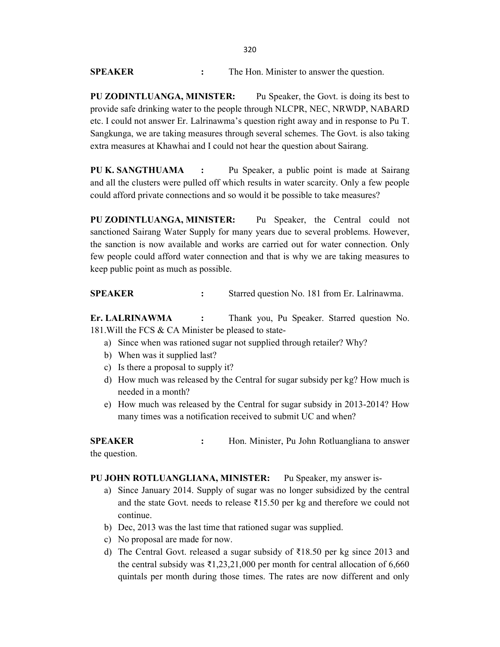| SPEAKER | The Hon. Minister to answer the question. |
|---------|-------------------------------------------|

PU ZODINTLUANGA, MINISTER: Pu Speaker, the Govt. is doing its best to provide safe drinking water to the people through NLCPR, NEC, NRWDP, NABARD etc. I could not answer Er. Lalrinawma's question right away and in response to Pu T. Sangkunga, we are taking measures through several schemes. The Govt. is also taking extra measures at Khawhai and I could not hear the question about Sairang.

PU K. SANGTHUAMA : Pu Speaker, a public point is made at Sairang and all the clusters were pulled off which results in water scarcity. Only a few people could afford private connections and so would it be possible to take measures?

PU ZODINTLUANGA, MINISTER: Pu Speaker, the Central could not sanctioned Sairang Water Supply for many years due to several problems. However, the sanction is now available and works are carried out for water connection. Only few people could afford water connection and that is why we are taking measures to keep public point as much as possible.

SPEAKER : Starred question No. 181 from Er. Lalrinawma.

Er. LALRINAWMA : Thank you, Pu Speaker. Starred question No. 181.Will the FCS & CA Minister be pleased to state-

- a) Since when was rationed sugar not supplied through retailer? Why?
- b) When was it supplied last?
- c) Is there a proposal to supply it?
- d) How much was released by the Central for sugar subsidy per kg? How much is needed in a month?
- e) How much was released by the Central for sugar subsidy in 2013-2014? How many times was a notification received to submit UC and when?

SPEAKER : Hon. Minister, Pu John Rotluangliana to answer the question.

# PU JOHN ROTLUANGLIANA, MINISTER: Pu Speaker, my answer is-

- a) Since January 2014. Supply of sugar was no longer subsidized by the central and the state Govt. needs to release ₹15.50 per kg and therefore we could not continue.
- b) Dec, 2013 was the last time that rationed sugar was supplied.
- c) No proposal are made for now.
- d) The Central Govt. released a sugar subsidy of ₹18.50 per kg since 2013 and the central subsidy was  $\bar{\tau}$ 1,23,21,000 per month for central allocation of 6,660 quintals per month during those times. The rates are now different and only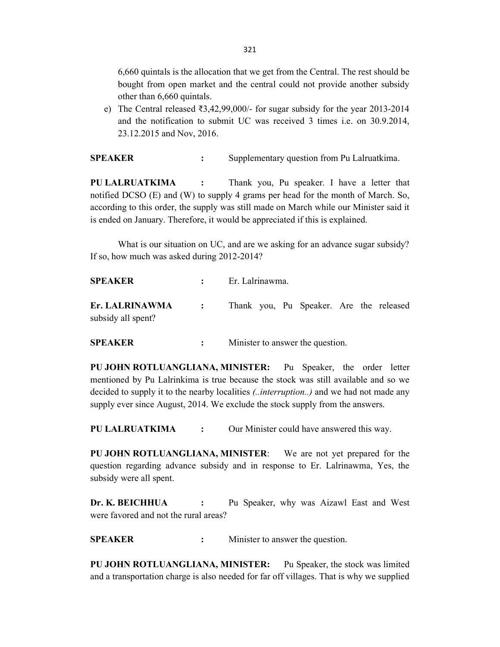6,660 quintals is the allocation that we get from the Central. The rest should be bought from open market and the central could not provide another subsidy other than 6,660 quintals.

e) The Central released ₹3,42,99,000/- for sugar subsidy for the year 2013-2014 and the notification to submit UC was received 3 times i.e. on 30.9.2014, 23.12.2015 and Nov, 2016.

SPEAKER : Supplementary question from Pu Lalruatkima.

PU LALRUATKIMA : Thank you, Pu speaker. I have a letter that notified DCSO (E) and (W) to supply 4 grams per head for the month of March. So, according to this order, the supply was still made on March while our Minister said it is ended on January. Therefore, it would be appreciated if this is explained.

 What is our situation on UC, and are we asking for an advance sugar subsidy? If so, how much was asked during 2012-2014?

SPEAKER : Er. Lalrinawma. Er. LALRINAWMA : Thank you, Pu Speaker. Are the released subsidy all spent?

SPEAKER : Minister to answer the question.

PU JOHN ROTLUANGLIANA, MINISTER: Pu Speaker, the order letter mentioned by Pu Lalrinkima is true because the stock was still available and so we decided to supply it to the nearby localities *(..interruption..)* and we had not made any supply ever since August, 2014. We exclude the stock supply from the answers.

PU LALRUATKIMA : Our Minister could have answered this way.

PU JOHN ROTLUANGLIANA, MINISTER: We are not yet prepared for the question regarding advance subsidy and in response to Er. Lalrinawma, Yes, the subsidy were all spent.

Dr. K. BEICHHUA : Pu Speaker, why was Aizawl East and West were favored and not the rural areas?

SPEAKER : Minister to answer the question.

PU JOHN ROTLUANGLIANA, MINISTER: Pu Speaker, the stock was limited and a transportation charge is also needed for far off villages. That is why we supplied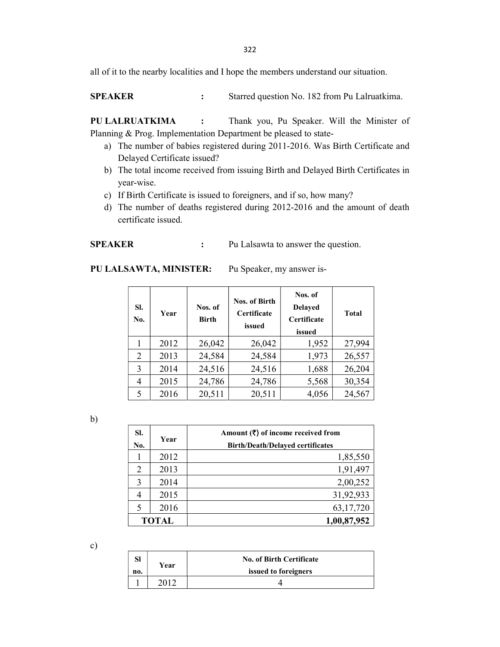322

all of it to the nearby localities and I hope the members understand our situation.

SPEAKER : Starred question No. 182 from Pu Lalruatkima.

PU LALRUATKIMA : Thank you, Pu Speaker. Will the Minister of Planning & Prog. Implementation Department be pleased to state-

- a) The number of babies registered during 2011-2016. Was Birth Certificate and Delayed Certificate issued?
- b) The total income received from issuing Birth and Delayed Birth Certificates in year-wise.
- c) If Birth Certificate is issued to foreigners, and if so, how many?
- d) The number of deaths registered during 2012-2016 and the amount of death certificate issued.

SPEAKER : Pu Lalsawta to answer the question.

## PU LALSAWTA, MINISTER: Pu Speaker, my answer is-

| SI.<br>No. | Year | Nos. of<br><b>Birth</b> | Nos. of Birth<br>Certificate<br>issued | Nos. of<br><b>Delayed</b><br><b>Certificate</b><br>issued | <b>Total</b> |
|------------|------|-------------------------|----------------------------------------|-----------------------------------------------------------|--------------|
|            | 2012 | 26,042                  | 26,042                                 | 1,952                                                     | 27,994       |
| 2          | 2013 | 24,584                  | 24,584                                 | 1,973                                                     | 26,557       |
| 3          | 2014 | 24,516                  | 24,516                                 | 1,688                                                     | 26,204       |
| 4          | 2015 | 24,786                  | 24,786                                 | 5,568                                                     | 30,354       |
| 5          | 2016 | 20,511                  | 20,511                                 | 4,056                                                     | 24,567       |

b)

| SI.<br>No. | Year         | Amount $(\bar{\zeta})$ of income received from<br><b>Birth/Death/Delayed certificates</b> |
|------------|--------------|-------------------------------------------------------------------------------------------|
|            | 2012         | 1,85,550                                                                                  |
| 2          | 2013         | 1,91,497                                                                                  |
| 3          | 2014         | 2,00,252                                                                                  |
|            | 2015         | 31,92,933                                                                                 |
| 5          | 2016         | 63,17,720                                                                                 |
|            | <b>TOTAL</b> | 1,00,87,952                                                                               |

c)

| ы   | Year | <b>No. of Birth Certificate</b> |
|-----|------|---------------------------------|
| no. |      | issued to foreigners            |
|     |      |                                 |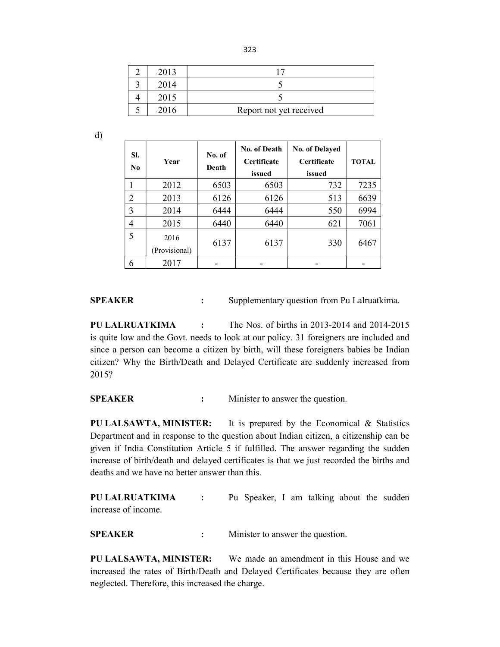| 2013 |                         |
|------|-------------------------|
|      |                         |
| 2015 |                         |
|      | Report not yet received |

d)

| SI.<br>N <sub>0</sub> | Year                  | No. of<br>Death | No. of Death<br><b>Certificate</b><br>issued | <b>No. of Delayed</b><br><b>Certificate</b><br>issued | <b>TOTAL</b> |
|-----------------------|-----------------------|-----------------|----------------------------------------------|-------------------------------------------------------|--------------|
| 1                     | 2012                  | 6503            | 6503                                         | 732                                                   | 7235         |
| $\overline{2}$        | 2013                  | 6126            | 6126                                         | 513                                                   | 6639         |
| 3                     | 2014                  | 6444            | 6444                                         | 550                                                   | 6994         |
| 4                     | 2015                  | 6440            | 6440                                         | 621                                                   | 7061         |
| 5                     | 2016<br>(Provisional) | 6137            | 6137                                         | 330                                                   | 6467         |
| 6                     | 2017                  |                 |                                              |                                                       |              |

**SPEAKER** : Supplementary question from Pu Lalruatkima.

PU LALRUATKIMA : The Nos. of births in 2013-2014 and 2014-2015 is quite low and the Govt. needs to look at our policy. 31 foreigners are included and since a person can become a citizen by birth, will these foreigners babies be Indian citizen? Why the Birth/Death and Delayed Certificate are suddenly increased from 2015?

SPEAKER : Minister to answer the question.

PU LALSAWTA, MINISTER: It is prepared by the Economical & Statistics Department and in response to the question about Indian citizen, a citizenship can be given if India Constitution Article 5 if fulfilled. The answer regarding the sudden increase of birth/death and delayed certificates is that we just recorded the births and deaths and we have no better answer than this.

PU LALRUATKIMA : Pu Speaker, I am talking about the sudden increase of income.

SPEAKER : Minister to answer the question.

PU LALSAWTA, MINISTER: We made an amendment in this House and we increased the rates of Birth/Death and Delayed Certificates because they are often neglected. Therefore, this increased the charge.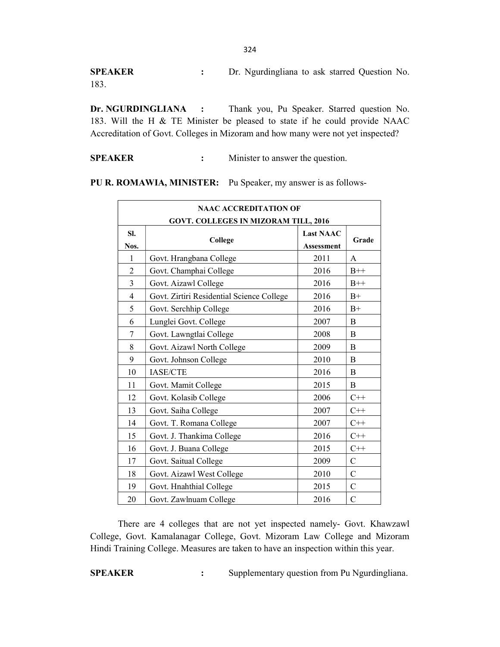SPEAKER : Dr. Ngurdingliana to ask starred Question No. 183.

Dr. NGURDINGLIANA : Thank you, Pu Speaker. Starred question No. 183. Will the H & TE Minister be pleased to state if he could provide NAAC Accreditation of Govt. Colleges in Mizoram and how many were not yet inspected?

SPEAKER : Minister to answer the question.

PU R. ROMAWIA, MINISTER: Pu Speaker, my answer is as follows-

|                | <b>NAAC ACCREDITATION OF</b><br>GOVT. COLLEGES IN MIZORAM TILL, 2016 |                                       |                |
|----------------|----------------------------------------------------------------------|---------------------------------------|----------------|
| SI.<br>Nos.    | College                                                              | <b>Last NAAC</b><br><b>Assessment</b> | Grade          |
| $\mathbf{1}$   | Govt. Hrangbana College                                              | 2011                                  | A              |
| $\overline{2}$ | Govt. Champhai College                                               | 2016                                  | $B++$          |
| 3              | Govt. Aizawl College                                                 | 2016                                  | $B++$          |
| $\overline{4}$ | Govt. Zirtiri Residential Science College                            | 2016                                  | $B+$           |
| 5              | Govt. Serchhip College                                               | 2016                                  | $B+$           |
| 6              | Lunglei Govt. College                                                | 2007                                  | B              |
| 7              | Govt. Lawngtlai College                                              | 2008                                  | B              |
| 8              | Govt. Aizawl North College                                           | 2009                                  | B              |
| 9              | Govt. Johnson College                                                | 2010                                  | B              |
| 10             | <b>IASE/CTE</b>                                                      | 2016                                  | $\overline{B}$ |
| 11             | Govt. Mamit College                                                  | 2015                                  | B              |
| 12             | Govt. Kolasib College                                                | 2006                                  | $C++$          |
| 13             | Govt. Saiha College                                                  | 2007                                  | $C++$          |
| 14             | Govt. T. Romana College                                              | 2007                                  | $C++$          |
| 15             | Govt. J. Thankima College                                            | 2016                                  | $C++$          |
| 16             | Govt. J. Buana College                                               | 2015                                  | $C++$          |
| 17             | Govt. Saitual College                                                | 2009                                  | $\mathbf C$    |
| 18             | Govt. Aizawl West College                                            | 2010                                  | C              |
| 19             | Govt. Hnahthial College                                              | 2015                                  | $\mathsf{C}$   |
| 20             | Govt. Zawlnuam College                                               | 2016                                  | $\mathcal{C}$  |

 There are 4 colleges that are not yet inspected namely- Govt. Khawzawl College, Govt. Kamalanagar College, Govt. Mizoram Law College and Mizoram Hindi Training College. Measures are taken to have an inspection within this year.

SPEAKER : Supplementary question from Pu Ngurdingliana.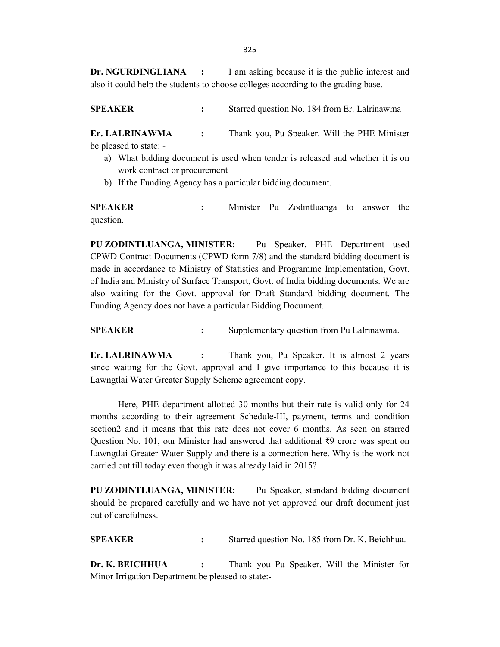Dr. NGURDINGLIANA : I am asking because it is the public interest and also it could help the students to choose colleges according to the grading base.

SPEAKER : Starred question No. 184 from Er. Lalrinawma

Er. LALRINAWMA : Thank you, Pu Speaker. Will the PHE Minister be pleased to state: -

- a) What bidding document is used when tender is released and whether it is on work contract or procurement
- b) If the Funding Agency has a particular bidding document.

SPEAKER : Minister Pu Zodintluanga to answer the question.

PU ZODINTLUANGA, MINISTER: Pu Speaker, PHE Department used CPWD Contract Documents (CPWD form 7/8) and the standard bidding document is made in accordance to Ministry of Statistics and Programme Implementation, Govt. of India and Ministry of Surface Transport, Govt. of India bidding documents. We are also waiting for the Govt. approval for Draft Standard bidding document. The Funding Agency does not have a particular Bidding Document.

**SPEAKER** : Supplementary question from Pu Lalrinawma.

Er. LALRINAWMA : Thank you, Pu Speaker. It is almost 2 years since waiting for the Govt. approval and I give importance to this because it is Lawngtlai Water Greater Supply Scheme agreement copy.

 Here, PHE department allotted 30 months but their rate is valid only for 24 months according to their agreement Schedule-III, payment, terms and condition section2 and it means that this rate does not cover 6 months. As seen on starred Question No. 101, our Minister had answered that additional ₹9 crore was spent on Lawngtlai Greater Water Supply and there is a connection here. Why is the work not carried out till today even though it was already laid in 2015?

PU ZODINTLUANGA, MINISTER: Pu Speaker, standard bidding document should be prepared carefully and we have not yet approved our draft document just out of carefulness.

SPEAKER : Starred question No. 185 from Dr. K. Beichhua.

Dr. K. BEICHHUA : Thank you Pu Speaker. Will the Minister for Minor Irrigation Department be pleased to state:-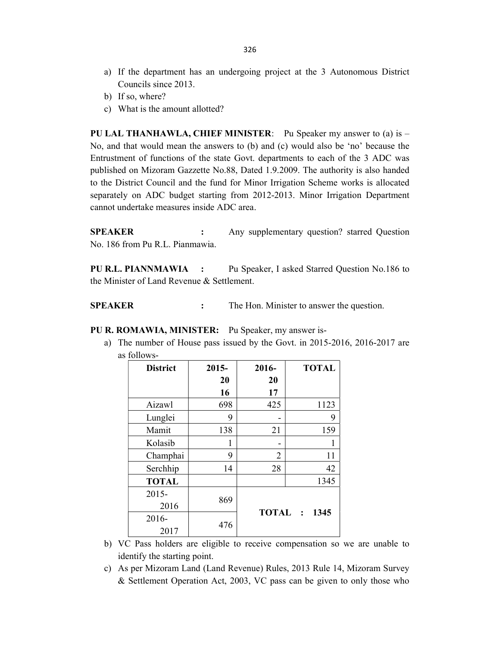- a) If the department has an undergoing project at the 3 Autonomous District Councils since 2013.
- b) If so, where?
- c) What is the amount allotted?

**PU LAL THANHAWLA, CHIEF MINISTER:** Pu Speaker my answer to (a) is  $-$ No, and that would mean the answers to (b) and (c) would also be 'no' because the Entrustment of functions of the state Govt. departments to each of the 3 ADC was published on Mizoram Gazzette No.88, Dated 1.9.2009. The authority is also handed to the District Council and the fund for Minor Irrigation Scheme works is allocated separately on ADC budget starting from 2012-2013. Minor Irrigation Department cannot undertake measures inside ADC area.

SPEAKER : Any supplementary question? starred Question No. 186 from Pu R.L. Pianmawia.

PU R.L. PIANNMAWIA : Pu Speaker, I asked Starred Question No.186 to the Minister of Land Revenue & Settlement.

SPEAKER : The Hon. Minister to answer the question.

PU R. ROMAWIA, MINISTER: Pu Speaker, my answer is-

a) The number of House pass issued by the Govt. in 2015-2016, 2016-2017 are as follows-

| <b>District</b> | $2015 -$ | 2016-           | <b>TOTAL</b> |
|-----------------|----------|-----------------|--------------|
|                 | 20       | 20              |              |
|                 | 16       | 17              |              |
| Aizawl          | 698      | 425             | 1123         |
| Lunglei         | 9        |                 | 9            |
| Mamit           | 138      | 21              | 159          |
| Kolasib         | 1        |                 | 1            |
| Champhai        | 9        | 2               | 11           |
| Serchhip        | 14       | 28              | 42           |
| <b>TOTAL</b>    |          |                 | 1345         |
| $2015 -$        |          |                 |              |
| 2016            | 869      | TOTAL :<br>1345 |              |
| $2016 -$        |          |                 |              |
| 2017            | 476      |                 |              |

- b) VC Pass holders are eligible to receive compensation so we are unable to identify the starting point.
- c) As per Mizoram Land (Land Revenue) Rules, 2013 Rule 14, Mizoram Survey & Settlement Operation Act, 2003, VC pass can be given to only those who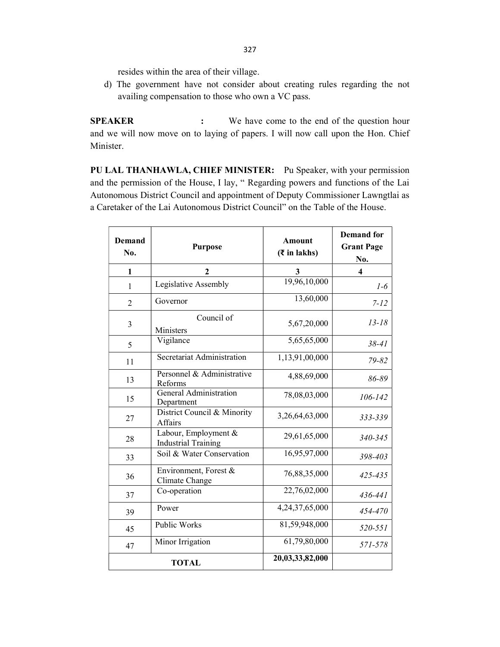resides within the area of their village.

d) The government have not consider about creating rules regarding the not availing compensation to those who own a VC pass.

SPEAKER : We have come to the end of the question hour and we will now move on to laying of papers. I will now call upon the Hon. Chief Minister.

PU LAL THANHAWLA, CHIEF MINISTER: Pu Speaker, with your permission and the permission of the House, I lay, " Regarding powers and functions of the Lai Autonomous District Council and appointment of Deputy Commissioner Lawngtlai as a Caretaker of the Lai Autonomous District Council" on the Table of the House.

| <b>Demand</b><br>No. | <b>Purpose</b>                                     | <b>Amount</b><br>$(\bar{z}$ in lakhs) | <b>Demand</b> for<br><b>Grant Page</b><br>No. |
|----------------------|----------------------------------------------------|---------------------------------------|-----------------------------------------------|
| 1                    | $\mathbf{2}$                                       | 3                                     | $\overline{\mathbf{4}}$                       |
| $\mathbf{1}$         | Legislative Assembly                               | 19,96,10,000                          | $1-6$                                         |
| $\overline{2}$       | Governor                                           | 13,60,000                             | $7 - 12$                                      |
| 3                    | Council of<br>Ministers                            | 5,67,20,000                           | $13 - 18$                                     |
| 5                    | Vigilance                                          | 5,65,65,000                           | $38 - 41$                                     |
| 11                   | Secretariat Administration                         | 1,13,91,00,000                        | 79-82                                         |
| 13                   | Personnel & Administrative<br>Reforms              | 4,88,69,000                           | 86-89                                         |
| 15                   | General Administration<br>Department               | 78,08,03,000                          | $106 - 142$                                   |
| 27                   | District Council & Minority<br>Affairs             | 3,26,64,63,000                        | 333-339                                       |
| 28                   | Labour, Employment &<br><b>Industrial Training</b> | 29,61,65,000                          | 340-345                                       |
| 33                   | Soil & Water Conservation                          | 16,95,97,000                          | 398-403                                       |
| 36                   | Environment, Forest &<br>Climate Change            | 76,88,35,000                          | 425-435                                       |
| 37                   | Co-operation                                       | 22,76,02,000                          | 436-441                                       |
| 39                   | Power                                              | 4,24,37,65,000                        | 454-470                                       |
| 45                   | Public Works                                       | 81,59,948,000                         | 520-551                                       |
| 47                   | Minor Irrigation                                   | 61,79,80,000                          | 571-578                                       |
|                      | <b>TOTAL</b>                                       | 20,03,33,82,000                       |                                               |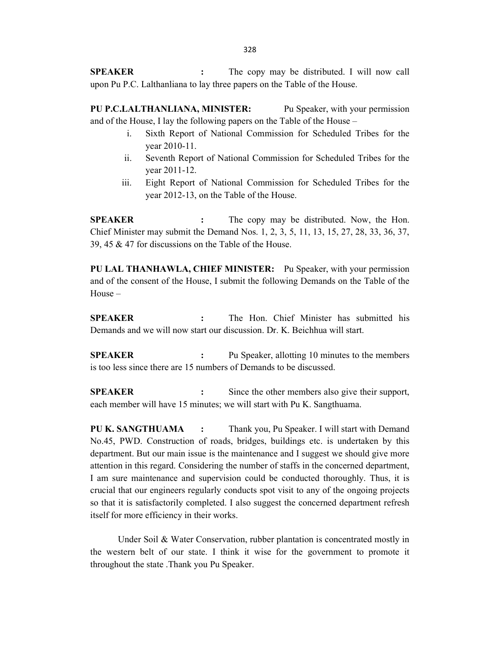SPEAKER : The copy may be distributed. I will now call upon Pu P.C. Lalthanliana to lay three papers on the Table of the House.

PU P.C.LALTHANLIANA, MINISTER: Pu Speaker, with your permission and of the House, I lay the following papers on the Table of the House –

- i. Sixth Report of National Commission for Scheduled Tribes for the year 2010-11.
- ii. Seventh Report of National Commission for Scheduled Tribes for the year 2011-12.
- iii. Eight Report of National Commission for Scheduled Tribes for the year 2012-13, on the Table of the House.

SPEAKER : The copy may be distributed. Now, the Hon. Chief Minister may submit the Demand Nos. 1, 2, 3, 5, 11, 13, 15, 27, 28, 33, 36, 37, 39, 45 & 47 for discussions on the Table of the House.

PU LAL THANHAWLA, CHIEF MINISTER: Pu Speaker, with your permission and of the consent of the House, I submit the following Demands on the Table of the House –

SPEAKER : The Hon. Chief Minister has submitted his Demands and we will now start our discussion. Dr. K. Beichhua will start.

SPEAKER : Pu Speaker, allotting 10 minutes to the members is too less since there are 15 numbers of Demands to be discussed.

SPEAKER : Since the other members also give their support, each member will have 15 minutes; we will start with Pu K. Sangthuama.

PU K. SANGTHUAMA : Thank you, Pu Speaker. I will start with Demand No.45, PWD. Construction of roads, bridges, buildings etc. is undertaken by this department. But our main issue is the maintenance and I suggest we should give more attention in this regard. Considering the number of staffs in the concerned department, I am sure maintenance and supervision could be conducted thoroughly. Thus, it is crucial that our engineers regularly conducts spot visit to any of the ongoing projects so that it is satisfactorily completed. I also suggest the concerned department refresh itself for more efficiency in their works.

Under Soil & Water Conservation, rubber plantation is concentrated mostly in the western belt of our state. I think it wise for the government to promote it throughout the state .Thank you Pu Speaker.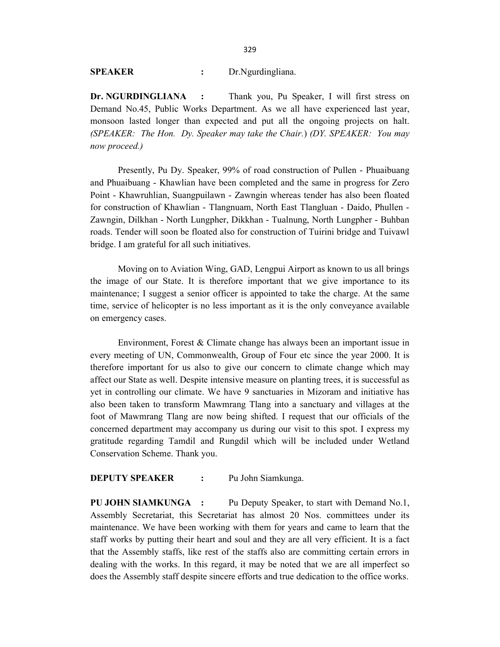SPEAKER : Dr.Ngurdingliana.

Dr. NGURDINGLIANA : Thank you, Pu Speaker, I will first stress on Demand No.45, Public Works Department. As we all have experienced last year, monsoon lasted longer than expected and put all the ongoing projects on halt. (SPEAKER: The Hon. Dy. Speaker may take the Chair.) (DY. SPEAKER: You may now proceed.)

Presently, Pu Dy. Speaker, 99% of road construction of Pullen - Phuaibuang and Phuaibuang - Khawlian have been completed and the same in progress for Zero Point - Khawruhlian, Suangpuilawn - Zawngin whereas tender has also been floated for construction of Khawlian - Tlangnuam, North East Tlangluan - Daido, Phullen - Zawngin, Dilkhan - North Lungpher, Dikkhan - Tualnung, North Lungpher - Buhban roads. Tender will soon be floated also for construction of Tuirini bridge and Tuivawl bridge. I am grateful for all such initiatives.

Moving on to Aviation Wing, GAD, Lengpui Airport as known to us all brings the image of our State. It is therefore important that we give importance to its maintenance; I suggest a senior officer is appointed to take the charge. At the same time, service of helicopter is no less important as it is the only conveyance available on emergency cases.

Environment, Forest & Climate change has always been an important issue in every meeting of UN, Commonwealth, Group of Four etc since the year 2000. It is therefore important for us also to give our concern to climate change which may affect our State as well. Despite intensive measure on planting trees, it is successful as yet in controlling our climate. We have 9 sanctuaries in Mizoram and initiative has also been taken to transform Mawmrang Tlang into a sanctuary and villages at the foot of Mawmrang Tlang are now being shifted. I request that our officials of the concerned department may accompany us during our visit to this spot. I express my gratitude regarding Tamdil and Rungdil which will be included under Wetland Conservation Scheme. Thank you.

# DEPUTY SPEAKER : Pu John Siamkunga.

PU JOHN SIAMKUNGA : Pu Deputy Speaker, to start with Demand No.1, Assembly Secretariat, this Secretariat has almost 20 Nos. committees under its maintenance. We have been working with them for years and came to learn that the staff works by putting their heart and soul and they are all very efficient. It is a fact that the Assembly staffs, like rest of the staffs also are committing certain errors in dealing with the works. In this regard, it may be noted that we are all imperfect so does the Assembly staff despite sincere efforts and true dedication to the office works.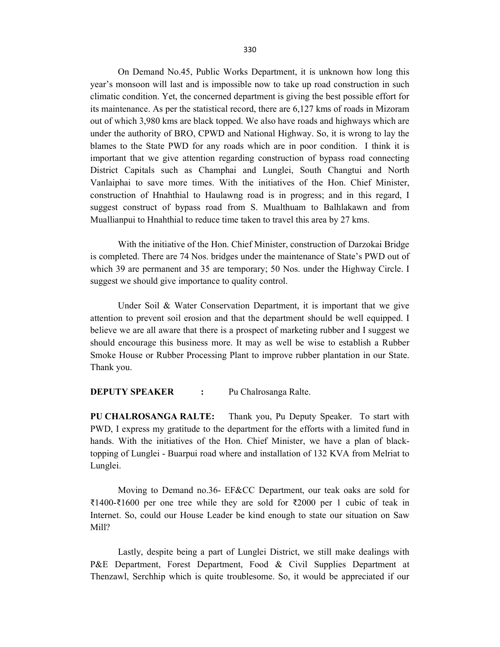On Demand No.45, Public Works Department, it is unknown how long this year's monsoon will last and is impossible now to take up road construction in such climatic condition. Yet, the concerned department is giving the best possible effort for its maintenance. As per the statistical record, there are 6,127 kms of roads in Mizoram out of which 3,980 kms are black topped. We also have roads and highways which are under the authority of BRO, CPWD and National Highway. So, it is wrong to lay the blames to the State PWD for any roads which are in poor condition. I think it is important that we give attention regarding construction of bypass road connecting District Capitals such as Champhai and Lunglei, South Changtui and North Vanlaiphai to save more times. With the initiatives of the Hon. Chief Minister, construction of Hnahthial to Haulawng road is in progress; and in this regard, I suggest construct of bypass road from S. Mualthuam to Balhlakawn and from Muallianpui to Hnahthial to reduce time taken to travel this area by 27 kms.

With the initiative of the Hon. Chief Minister, construction of Darzokai Bridge is completed. There are 74 Nos. bridges under the maintenance of State's PWD out of which 39 are permanent and 35 are temporary; 50 Nos. under the Highway Circle. I suggest we should give importance to quality control.

Under Soil & Water Conservation Department, it is important that we give attention to prevent soil erosion and that the department should be well equipped. I believe we are all aware that there is a prospect of marketing rubber and I suggest we should encourage this business more. It may as well be wise to establish a Rubber Smoke House or Rubber Processing Plant to improve rubber plantation in our State. Thank you.

DEPUTY SPEAKER : Pu Chalrosanga Ralte.

PU CHALROSANGA RALTE: Thank you, Pu Deputy Speaker. To start with PWD, I express my gratitude to the department for the efforts with a limited fund in hands. With the initiatives of the Hon. Chief Minister, we have a plan of blacktopping of Lunglei - Buarpui road where and installation of 132 KVA from Melriat to Lunglei.

 Moving to Demand no.36- EF&CC Department, our teak oaks are sold for ₹1400-₹1600 per one tree while they are sold for ₹2000 per 1 cubic of teak in Internet. So, could our House Leader be kind enough to state our situation on Saw Mill?

 Lastly, despite being a part of Lunglei District, we still make dealings with P&E Department, Forest Department, Food & Civil Supplies Department at Thenzawl, Serchhip which is quite troublesome. So, it would be appreciated if our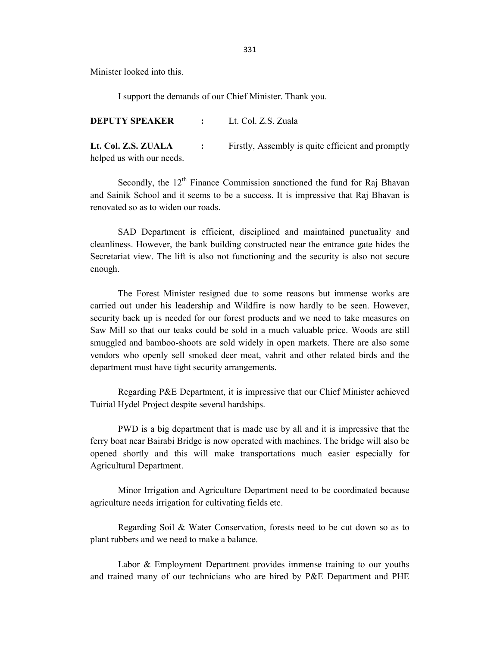Minister looked into this.

I support the demands of our Chief Minister. Thank you.

DEPUTY SPEAKER : Lt. Col. Z.S. Zuala

Lt. Col. Z.S. ZUALA : Firstly, Assembly is quite efficient and promptly helped us with our needs.

Secondly, the  $12<sup>th</sup>$  Finance Commission sanctioned the fund for Raj Bhavan and Sainik School and it seems to be a success. It is impressive that Raj Bhavan is renovated so as to widen our roads.

 SAD Department is efficient, disciplined and maintained punctuality and cleanliness. However, the bank building constructed near the entrance gate hides the Secretariat view. The lift is also not functioning and the security is also not secure enough.

 The Forest Minister resigned due to some reasons but immense works are carried out under his leadership and Wildfire is now hardly to be seen. However, security back up is needed for our forest products and we need to take measures on Saw Mill so that our teaks could be sold in a much valuable price. Woods are still smuggled and bamboo-shoots are sold widely in open markets. There are also some vendors who openly sell smoked deer meat, vahrit and other related birds and the department must have tight security arrangements.

 Regarding P&E Department, it is impressive that our Chief Minister achieved Tuirial Hydel Project despite several hardships.

 PWD is a big department that is made use by all and it is impressive that the ferry boat near Bairabi Bridge is now operated with machines. The bridge will also be opened shortly and this will make transportations much easier especially for Agricultural Department.

 Minor Irrigation and Agriculture Department need to be coordinated because agriculture needs irrigation for cultivating fields etc.

 Regarding Soil & Water Conservation, forests need to be cut down so as to plant rubbers and we need to make a balance.

 Labor & Employment Department provides immense training to our youths and trained many of our technicians who are hired by P&E Department and PHE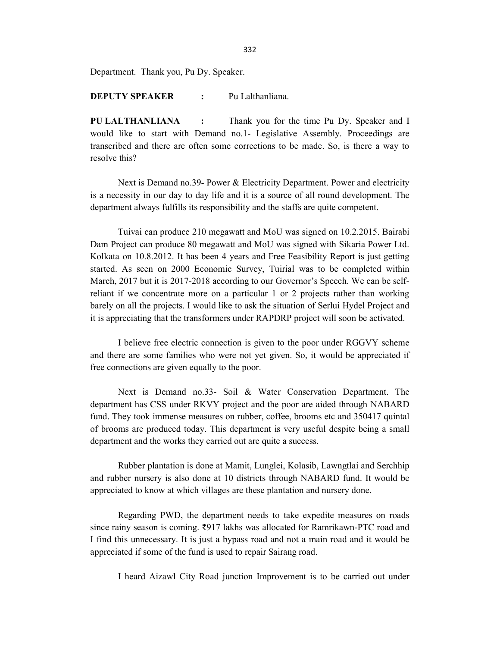Department. Thank you, Pu Dy. Speaker.

DEPUTY SPEAKER : Pu Lalthanliana.

PU LALTHANLIANA : Thank you for the time Pu Dy. Speaker and I would like to start with Demand no.1- Legislative Assembly. Proceedings are transcribed and there are often some corrections to be made. So, is there a way to resolve this?

 Next is Demand no.39- Power & Electricity Department. Power and electricity is a necessity in our day to day life and it is a source of all round development. The department always fulfills its responsibility and the staffs are quite competent.

 Tuivai can produce 210 megawatt and MoU was signed on 10.2.2015. Bairabi Dam Project can produce 80 megawatt and MoU was signed with Sikaria Power Ltd. Kolkata on 10.8.2012. It has been 4 years and Free Feasibility Report is just getting started. As seen on 2000 Economic Survey, Tuirial was to be completed within March, 2017 but it is 2017-2018 according to our Governor's Speech. We can be selfreliant if we concentrate more on a particular 1 or 2 projects rather than working barely on all the projects. I would like to ask the situation of Serlui Hydel Project and it is appreciating that the transformers under RAPDRP project will soon be activated.

 I believe free electric connection is given to the poor under RGGVY scheme and there are some families who were not yet given. So, it would be appreciated if free connections are given equally to the poor.

 Next is Demand no.33- Soil & Water Conservation Department. The department has CSS under RKVY project and the poor are aided through NABARD fund. They took immense measures on rubber, coffee, brooms etc and 350417 quintal of brooms are produced today. This department is very useful despite being a small department and the works they carried out are quite a success.

 Rubber plantation is done at Mamit, Lunglei, Kolasib, Lawngtlai and Serchhip and rubber nursery is also done at 10 districts through NABARD fund. It would be appreciated to know at which villages are these plantation and nursery done.

 Regarding PWD, the department needs to take expedite measures on roads since rainy season is coming. ₹917 lakhs was allocated for Ramrikawn-PTC road and I find this unnecessary. It is just a bypass road and not a main road and it would be appreciated if some of the fund is used to repair Sairang road.

I heard Aizawl City Road junction Improvement is to be carried out under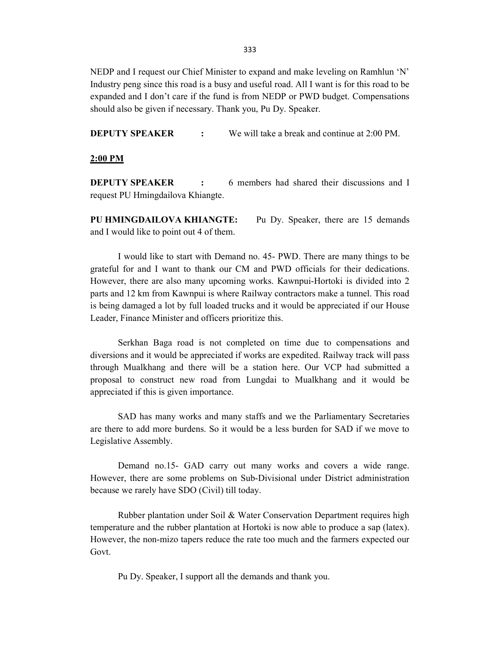333

NEDP and I request our Chief Minister to expand and make leveling on Ramhlun 'N' Industry peng since this road is a busy and useful road. All I want is for this road to be expanded and I don't care if the fund is from NEDP or PWD budget. Compensations should also be given if necessary. Thank you, Pu Dy. Speaker.

**DEPUTY SPEAKER :** We will take a break and continue at 2:00 PM.

2:00 PM

**DEPUTY SPEAKER** : 6 members had shared their discussions and I request PU Hmingdailova Khiangte.

PU HMINGDAILOVA KHIANGTE: Pu Dy. Speaker, there are 15 demands and I would like to point out 4 of them.

 I would like to start with Demand no. 45- PWD. There are many things to be grateful for and I want to thank our CM and PWD officials for their dedications. However, there are also many upcoming works. Kawnpui-Hortoki is divided into 2 parts and 12 km from Kawnpui is where Railway contractors make a tunnel. This road is being damaged a lot by full loaded trucks and it would be appreciated if our House Leader, Finance Minister and officers prioritize this.

 Serkhan Baga road is not completed on time due to compensations and diversions and it would be appreciated if works are expedited. Railway track will pass through Mualkhang and there will be a station here. Our VCP had submitted a proposal to construct new road from Lungdai to Mualkhang and it would be appreciated if this is given importance.

 SAD has many works and many staffs and we the Parliamentary Secretaries are there to add more burdens. So it would be a less burden for SAD if we move to Legislative Assembly.

 Demand no.15- GAD carry out many works and covers a wide range. However, there are some problems on Sub-Divisional under District administration because we rarely have SDO (Civil) till today.

 Rubber plantation under Soil & Water Conservation Department requires high temperature and the rubber plantation at Hortoki is now able to produce a sap (latex). However, the non-mizo tapers reduce the rate too much and the farmers expected our Govt.

Pu Dy. Speaker, I support all the demands and thank you.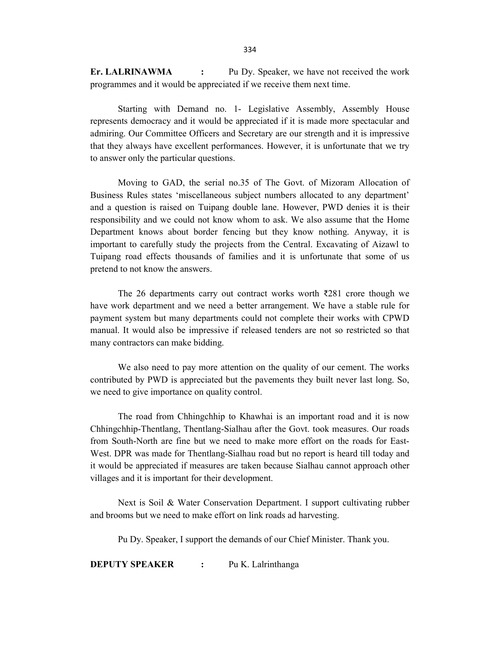Er. LALRINAWMA : Pu Dy. Speaker, we have not received the work programmes and it would be appreciated if we receive them next time.

 Starting with Demand no. 1- Legislative Assembly, Assembly House represents democracy and it would be appreciated if it is made more spectacular and admiring. Our Committee Officers and Secretary are our strength and it is impressive that they always have excellent performances. However, it is unfortunate that we try to answer only the particular questions.

 Moving to GAD, the serial no.35 of The Govt. of Mizoram Allocation of Business Rules states 'miscellaneous subject numbers allocated to any department' and a question is raised on Tuipang double lane. However, PWD denies it is their responsibility and we could not know whom to ask. We also assume that the Home Department knows about border fencing but they know nothing. Anyway, it is important to carefully study the projects from the Central. Excavating of Aizawl to Tuipang road effects thousands of families and it is unfortunate that some of us pretend to not know the answers.

 The 26 departments carry out contract works worth ₹281 crore though we have work department and we need a better arrangement. We have a stable rule for payment system but many departments could not complete their works with CPWD manual. It would also be impressive if released tenders are not so restricted so that many contractors can make bidding.

 We also need to pay more attention on the quality of our cement. The works contributed by PWD is appreciated but the pavements they built never last long. So, we need to give importance on quality control.

 The road from Chhingchhip to Khawhai is an important road and it is now Chhingchhip-Thentlang, Thentlang-Sialhau after the Govt. took measures. Our roads from South-North are fine but we need to make more effort on the roads for East-West. DPR was made for Thentlang-Sialhau road but no report is heard till today and it would be appreciated if measures are taken because Sialhau cannot approach other villages and it is important for their development.

 Next is Soil & Water Conservation Department. I support cultivating rubber and brooms but we need to make effort on link roads ad harvesting.

Pu Dy. Speaker, I support the demands of our Chief Minister. Thank you.

DEPUTY SPEAKER : Pu K. Lalrinthanga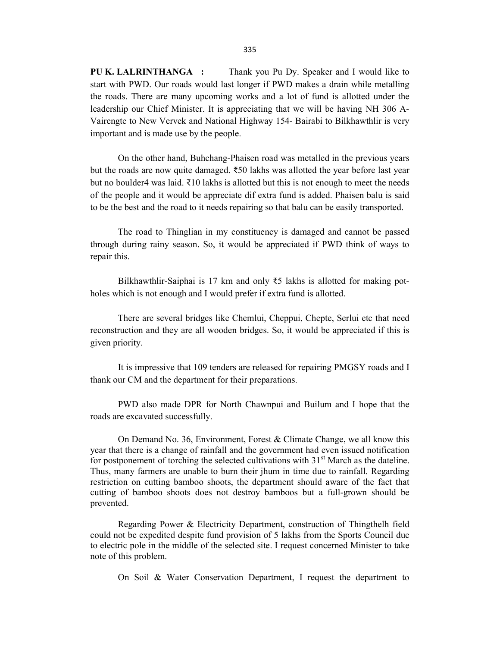PU K. LALRINTHANGA : Thank you Pu Dy. Speaker and I would like to start with PWD. Our roads would last longer if PWD makes a drain while metalling the roads. There are many upcoming works and a lot of fund is allotted under the leadership our Chief Minister. It is appreciating that we will be having NH 306 A-Vairengte to New Vervek and National Highway 154- Bairabi to Bilkhawthlir is very important and is made use by the people.

 On the other hand, Buhchang-Phaisen road was metalled in the previous years but the roads are now quite damaged. ₹50 lakhs was allotted the year before last year but no boulder4 was laid.  $\bar{\xi}$  10 lakhs is allotted but this is not enough to meet the needs of the people and it would be appreciate dif extra fund is added. Phaisen balu is said to be the best and the road to it needs repairing so that balu can be easily transported.

 The road to Thinglian in my constituency is damaged and cannot be passed through during rainy season. So, it would be appreciated if PWD think of ways to repair this.

 Bilkhawthlir-Saiphai is 17 km and only ₹5 lakhs is allotted for making potholes which is not enough and I would prefer if extra fund is allotted.

 There are several bridges like Chemlui, Cheppui, Chepte, Serlui etc that need reconstruction and they are all wooden bridges. So, it would be appreciated if this is given priority.

 It is impressive that 109 tenders are released for repairing PMGSY roads and I thank our CM and the department for their preparations.

 PWD also made DPR for North Chawnpui and Builum and I hope that the roads are excavated successfully.

 On Demand No. 36, Environment, Forest & Climate Change, we all know this year that there is a change of rainfall and the government had even issued notification for postponement of torching the selected cultivations with  $31<sup>st</sup>$  March as the dateline. Thus, many farmers are unable to burn their jhum in time due to rainfall. Regarding restriction on cutting bamboo shoots, the department should aware of the fact that cutting of bamboo shoots does not destroy bamboos but a full-grown should be prevented.

 Regarding Power & Electricity Department, construction of Thingthelh field could not be expedited despite fund provision of 5 lakhs from the Sports Council due to electric pole in the middle of the selected site. I request concerned Minister to take note of this problem.

On Soil & Water Conservation Department, I request the department to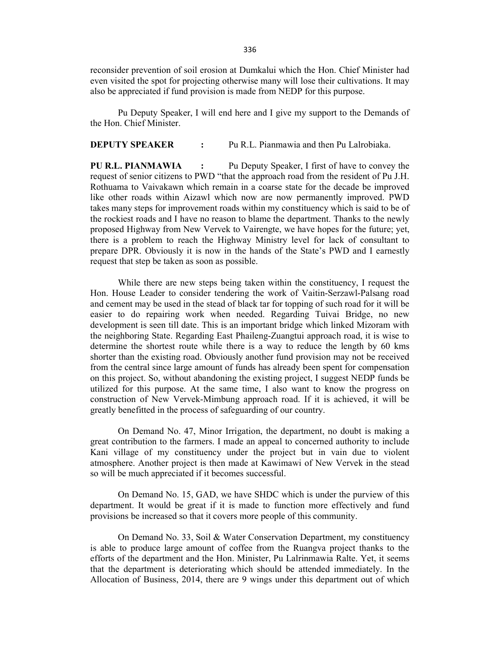reconsider prevention of soil erosion at Dumkalui which the Hon. Chief Minister had even visited the spot for projecting otherwise many will lose their cultivations. It may also be appreciated if fund provision is made from NEDP for this purpose.

 Pu Deputy Speaker, I will end here and I give my support to the Demands of the Hon. Chief Minister.

### **DEPUTY SPEAKER :** Pu R.L. Pianmawia and then Pu Lalrobiaka.

PU R.L. PIANMAWIA : Pu Deputy Speaker, I first of have to convey the request of senior citizens to PWD "that the approach road from the resident of Pu J.H. Rothuama to Vaivakawn which remain in a coarse state for the decade be improved like other roads within Aizawl which now are now permanently improved. PWD takes many steps for improvement roads within my constituency which is said to be of the rockiest roads and I have no reason to blame the department. Thanks to the newly proposed Highway from New Vervek to Vairengte, we have hopes for the future; yet, there is a problem to reach the Highway Ministry level for lack of consultant to prepare DPR. Obviously it is now in the hands of the State's PWD and I earnestly request that step be taken as soon as possible.

 While there are new steps being taken within the constituency, I request the Hon. House Leader to consider tendering the work of Vaitin-Serzawl-Palsang road and cement may be used in the stead of black tar for topping of such road for it will be easier to do repairing work when needed. Regarding Tuivai Bridge, no new development is seen till date. This is an important bridge which linked Mizoram with the neighboring State. Regarding East Phaileng-Zuangtui approach road, it is wise to determine the shortest route while there is a way to reduce the length by 60 kms shorter than the existing road. Obviously another fund provision may not be received from the central since large amount of funds has already been spent for compensation on this project. So, without abandoning the existing project, I suggest NEDP funds be utilized for this purpose. At the same time, I also want to know the progress on construction of New Vervek-Mimbung approach road. If it is achieved, it will be greatly benefitted in the process of safeguarding of our country.

 On Demand No. 47, Minor Irrigation, the department, no doubt is making a great contribution to the farmers. I made an appeal to concerned authority to include Kani village of my constituency under the project but in vain due to violent atmosphere. Another project is then made at Kawimawi of New Vervek in the stead so will be much appreciated if it becomes successful.

 On Demand No. 15, GAD, we have SHDC which is under the purview of this department. It would be great if it is made to function more effectively and fund provisions be increased so that it covers more people of this community.

 On Demand No. 33, Soil & Water Conservation Department, my constituency is able to produce large amount of coffee from the Ruangva project thanks to the efforts of the department and the Hon. Minister, Pu Lalrinmawia Ralte. Yet, it seems that the department is deteriorating which should be attended immediately. In the Allocation of Business, 2014, there are 9 wings under this department out of which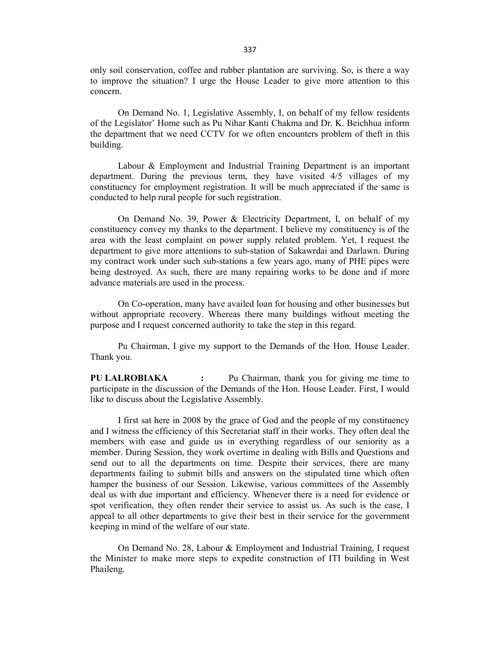only soil conservation, coffee and rubber plantation are surviving. So, is there a way to improve the situation? I urge the House Leader to give more attention to this concern.

 On Demand No. 1, Legislative Assembly, I, on behalf of my fellow residents of the Legislator' Home such as Pu Nihar Kanti Chakma and Dr. K. Beichhua inform the department that we need CCTV for we often encounters problem of theft in this building.

 Labour & Employment and Industrial Training Department is an important department. During the previous term, they have visited 4/5 villages of my constituency for employment registration. It will be much appreciated if the same is conducted to help rural people for such registration.

 On Demand No. 39, Power & Electricity Department, I, on behalf of my constituency convey my thanks to the department. I believe my constituency is of the area with the least complaint on power supply related problem. Yet, I request the department to give more attentions to sub-station of Sakawrdai and Darlawn. During my contract work under such sub-stations a few years ago, many of PHE pipes were being destroyed. As such, there are many repairing works to be done and if more advance materials are used in the process.

 On Co-operation, many have availed loan for housing and other businesses but without appropriate recovery. Whereas there many buildings without meeting the purpose and I request concerned authority to take the step in this regard.

 Pu Chairman, I give my support to the Demands of the Hon. House Leader. Thank you.

PU LALROBIAKA : Pu Chairman, thank you for giving me time to participate in the discussion of the Demands of the Hon. House Leader. First, I would like to discuss about the Legislative Assembly.

 I first sat here in 2008 by the grace of God and the people of my constituency and I witness the efficiency of this Secretariat staff in their works. They often deal the members with ease and guide us in everything regardless of our seniority as a member. During Session, they work overtime in dealing with Bills and Questions and send out to all the departments on time. Despite their services, there are many departments failing to submit bills and answers on the stipulated time which often hamper the business of our Session. Likewise, various committees of the Assembly deal us with due important and efficiency. Whenever there is a need for evidence or spot verification, they often render their service to assist us. As such is the case, I appeal to all other departments to give their best in their service for the government keeping in mind of the welfare of our state.

 On Demand No. 28, Labour & Employment and Industrial Training, I request the Minister to make more steps to expedite construction of ITI building in West Phaileng.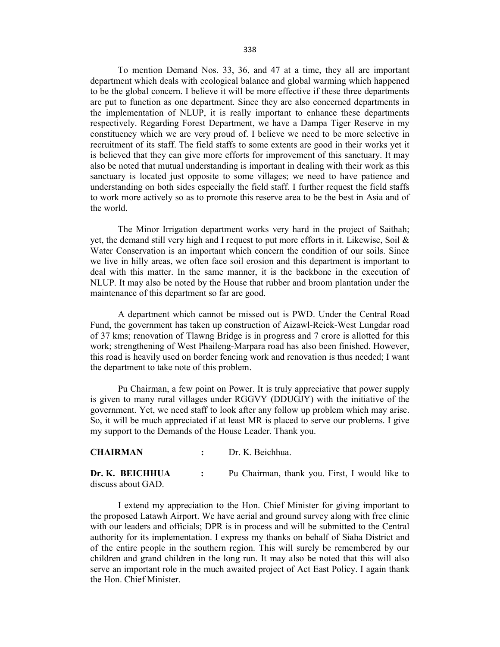To mention Demand Nos. 33, 36, and 47 at a time, they all are important department which deals with ecological balance and global warming which happened to be the global concern. I believe it will be more effective if these three departments are put to function as one department. Since they are also concerned departments in the implementation of NLUP, it is really important to enhance these departments respectively. Regarding Forest Department, we have a Dampa Tiger Reserve in my constituency which we are very proud of. I believe we need to be more selective in recruitment of its staff. The field staffs to some extents are good in their works yet it is believed that they can give more efforts for improvement of this sanctuary. It may also be noted that mutual understanding is important in dealing with their work as this sanctuary is located just opposite to some villages; we need to have patience and understanding on both sides especially the field staff. I further request the field staffs to work more actively so as to promote this reserve area to be the best in Asia and of the world.

 The Minor Irrigation department works very hard in the project of Saithah; yet, the demand still very high and I request to put more efforts in it. Likewise, Soil & Water Conservation is an important which concern the condition of our soils. Since we live in hilly areas, we often face soil erosion and this department is important to deal with this matter. In the same manner, it is the backbone in the execution of NLUP. It may also be noted by the House that rubber and broom plantation under the maintenance of this department so far are good.

 A department which cannot be missed out is PWD. Under the Central Road Fund, the government has taken up construction of Aizawl-Reiek-West Lungdar road of 37 kms; renovation of Tlawng Bridge is in progress and 7 crore is allotted for this work; strengthening of West Phaileng-Marpara road has also been finished. However, this road is heavily used on border fencing work and renovation is thus needed; I want the department to take note of this problem.

 Pu Chairman, a few point on Power. It is truly appreciative that power supply is given to many rural villages under RGGVY (DDUGJY) with the initiative of the government. Yet, we need staff to look after any follow up problem which may arise. So, it will be much appreciated if at least MR is placed to serve our problems. I give my support to the Demands of the House Leader. Thank you.

#### CHAIRMAN : Dr. K. Beichhua.

Dr. K. BEICHHUA : Pu Chairman, thank you. First, I would like to discuss about GAD.

 I extend my appreciation to the Hon. Chief Minister for giving important to the proposed Latawh Airport. We have aerial and ground survey along with free clinic with our leaders and officials; DPR is in process and will be submitted to the Central authority for its implementation. I express my thanks on behalf of Siaha District and of the entire people in the southern region. This will surely be remembered by our children and grand children in the long run. It may also be noted that this will also serve an important role in the much awaited project of Act East Policy. I again thank the Hon. Chief Minister.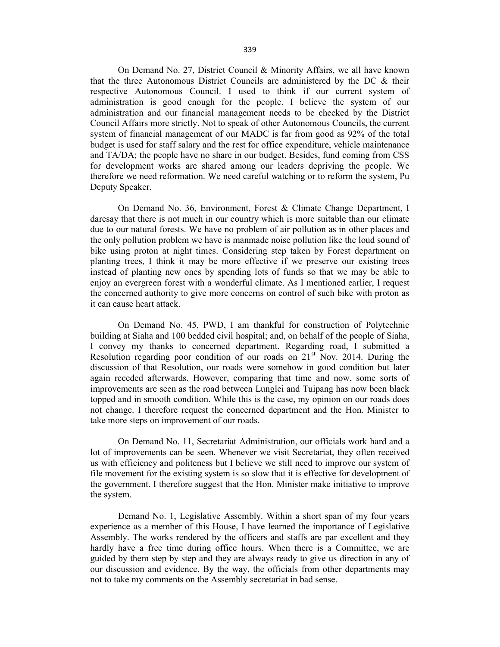On Demand No. 27, District Council & Minority Affairs, we all have known that the three Autonomous District Councils are administered by the DC & their respective Autonomous Council. I used to think if our current system of administration is good enough for the people. I believe the system of our administration and our financial management needs to be checked by the District Council Affairs more strictly. Not to speak of other Autonomous Councils, the current system of financial management of our MADC is far from good as 92% of the total budget is used for staff salary and the rest for office expenditure, vehicle maintenance and TA/DA; the people have no share in our budget. Besides, fund coming from CSS for development works are shared among our leaders depriving the people. We therefore we need reformation. We need careful watching or to reform the system, Pu Deputy Speaker.

 On Demand No. 36, Environment, Forest & Climate Change Department, I daresay that there is not much in our country which is more suitable than our climate due to our natural forests. We have no problem of air pollution as in other places and the only pollution problem we have is manmade noise pollution like the loud sound of bike using proton at night times. Considering step taken by Forest department on planting trees, I think it may be more effective if we preserve our existing trees instead of planting new ones by spending lots of funds so that we may be able to enjoy an evergreen forest with a wonderful climate. As I mentioned earlier, I request the concerned authority to give more concerns on control of such bike with proton as it can cause heart attack.

 On Demand No. 45, PWD, I am thankful for construction of Polytechnic building at Siaha and 100 bedded civil hospital; and, on behalf of the people of Siaha, I convey my thanks to concerned department. Regarding road, I submitted a Resolution regarding poor condition of our roads on  $21<sup>st</sup>$  Nov. 2014. During the discussion of that Resolution, our roads were somehow in good condition but later again receded afterwards. However, comparing that time and now, some sorts of improvements are seen as the road between Lunglei and Tuipang has now been black topped and in smooth condition. While this is the case, my opinion on our roads does not change. I therefore request the concerned department and the Hon. Minister to take more steps on improvement of our roads.

 On Demand No. 11, Secretariat Administration, our officials work hard and a lot of improvements can be seen. Whenever we visit Secretariat, they often received us with efficiency and politeness but I believe we still need to improve our system of file movement for the existing system is so slow that it is effective for development of the government. I therefore suggest that the Hon. Minister make initiative to improve the system.

 Demand No. 1, Legislative Assembly. Within a short span of my four years experience as a member of this House, I have learned the importance of Legislative Assembly. The works rendered by the officers and staffs are par excellent and they hardly have a free time during office hours. When there is a Committee, we are guided by them step by step and they are always ready to give us direction in any of our discussion and evidence. By the way, the officials from other departments may not to take my comments on the Assembly secretariat in bad sense.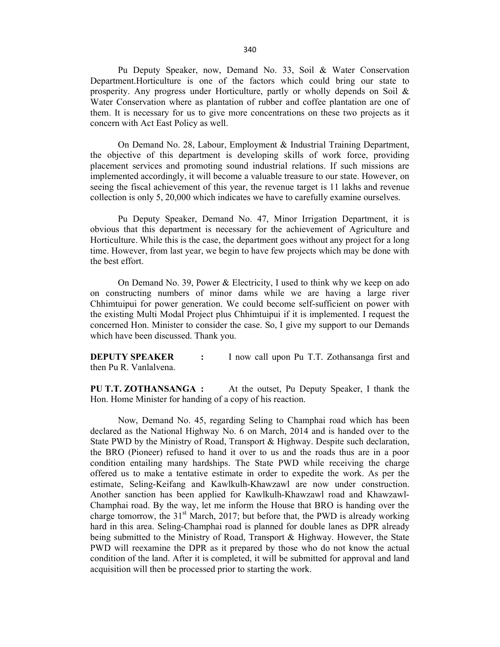Pu Deputy Speaker, now, Demand No. 33, Soil & Water Conservation Department.Horticulture is one of the factors which could bring our state to prosperity. Any progress under Horticulture, partly or wholly depends on Soil & Water Conservation where as plantation of rubber and coffee plantation are one of them. It is necessary for us to give more concentrations on these two projects as it concern with Act East Policy as well.

 On Demand No. 28, Labour, Employment & Industrial Training Department, the objective of this department is developing skills of work force, providing placement services and promoting sound industrial relations. If such missions are implemented accordingly, it will become a valuable treasure to our state. However, on seeing the fiscal achievement of this year, the revenue target is 11 lakhs and revenue collection is only 5, 20,000 which indicates we have to carefully examine ourselves.

 Pu Deputy Speaker, Demand No. 47, Minor Irrigation Department, it is obvious that this department is necessary for the achievement of Agriculture and Horticulture. While this is the case, the department goes without any project for a long time. However, from last year, we begin to have few projects which may be done with the best effort.

 On Demand No. 39, Power & Electricity, I used to think why we keep on ado on constructing numbers of minor dams while we are having a large river Chhimtuipui for power generation. We could become self-sufficient on power with the existing Multi Modal Project plus Chhimtuipui if it is implemented. I request the concerned Hon. Minister to consider the case. So, I give my support to our Demands which have been discussed. Thank you.

DEPUTY SPEAKER : I now call upon Pu T.T. Zothansanga first and then Pu R. Vanlalvena.

PU T.T. ZOTHANSANGA : At the outset, Pu Deputy Speaker, I thank the Hon. Home Minister for handing of a copy of his reaction.

 Now, Demand No. 45, regarding Seling to Champhai road which has been declared as the National Highway No. 6 on March, 2014 and is handed over to the State PWD by the Ministry of Road, Transport & Highway. Despite such declaration, the BRO (Pioneer) refused to hand it over to us and the roads thus are in a poor condition entailing many hardships. The State PWD while receiving the charge offered us to make a tentative estimate in order to expedite the work. As per the estimate, Seling-Keifang and Kawlkulh-Khawzawl are now under construction. Another sanction has been applied for Kawlkulh-Khawzawl road and Khawzawl-Champhai road. By the way, let me inform the House that BRO is handing over the charge tomorrow, the  $31<sup>st</sup>$  March, 2017; but before that, the PWD is already working hard in this area. Seling-Champhai road is planned for double lanes as DPR already being submitted to the Ministry of Road, Transport & Highway. However, the State PWD will reexamine the DPR as it prepared by those who do not know the actual condition of the land. After it is completed, it will be submitted for approval and land acquisition will then be processed prior to starting the work.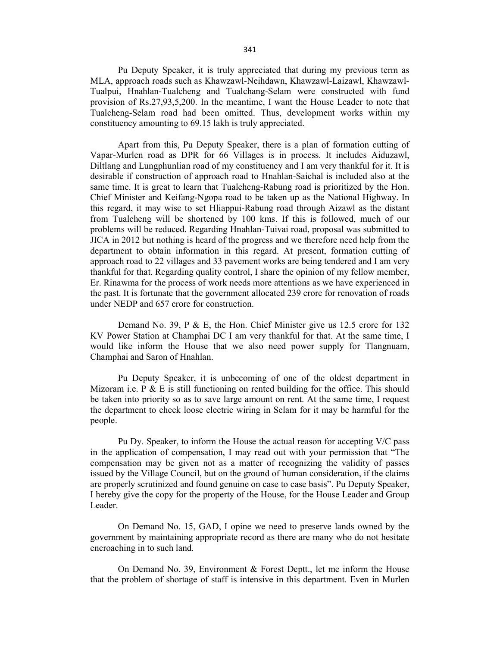Pu Deputy Speaker, it is truly appreciated that during my previous term as MLA, approach roads such as Khawzawl-Neihdawn, Khawzawl-Laizawl, Khawzawl-Tualpui, Hnahlan-Tualcheng and Tualchang-Selam were constructed with fund provision of Rs.27,93,5,200. In the meantime, I want the House Leader to note that Tualcheng-Selam road had been omitted. Thus, development works within my constituency amounting to 69.15 lakh is truly appreciated.

 Apart from this, Pu Deputy Speaker, there is a plan of formation cutting of Vapar-Murlen road as DPR for 66 Villages is in process. It includes Aiduzawl, Diltlang and Lungphunlian road of my constituency and I am very thankful for it. It is desirable if construction of approach road to Hnahlan-Saichal is included also at the same time. It is great to learn that Tualcheng-Rabung road is prioritized by the Hon. Chief Minister and Keifang-Ngopa road to be taken up as the National Highway. In this regard, it may wise to set Hliappui-Rabung road through Aizawl as the distant from Tualcheng will be shortened by 100 kms. If this is followed, much of our problems will be reduced. Regarding Hnahlan-Tuivai road, proposal was submitted to JICA in 2012 but nothing is heard of the progress and we therefore need help from the department to obtain information in this regard. At present, formation cutting of approach road to 22 villages and 33 pavement works are being tendered and I am very thankful for that. Regarding quality control, I share the opinion of my fellow member, Er. Rinawma for the process of work needs more attentions as we have experienced in the past. It is fortunate that the government allocated 239 crore for renovation of roads under NEDP and 657 crore for construction.

 Demand No. 39, P & E, the Hon. Chief Minister give us 12.5 crore for 132 KV Power Station at Champhai DC I am very thankful for that. At the same time, I would like inform the House that we also need power supply for Tlangnuam, Champhai and Saron of Hnahlan.

 Pu Deputy Speaker, it is unbecoming of one of the oldest department in Mizoram i.e.  $P \& E$  is still functioning on rented building for the office. This should be taken into priority so as to save large amount on rent. At the same time, I request the department to check loose electric wiring in Selam for it may be harmful for the people.

 Pu Dy. Speaker, to inform the House the actual reason for accepting V/C pass in the application of compensation, I may read out with your permission that "The compensation may be given not as a matter of recognizing the validity of passes issued by the Village Council, but on the ground of human consideration, if the claims are properly scrutinized and found genuine on case to case basis". Pu Deputy Speaker, I hereby give the copy for the property of the House, for the House Leader and Group Leader.

 On Demand No. 15, GAD, I opine we need to preserve lands owned by the government by maintaining appropriate record as there are many who do not hesitate encroaching in to such land.

 On Demand No. 39, Environment & Forest Deptt., let me inform the House that the problem of shortage of staff is intensive in this department. Even in Murlen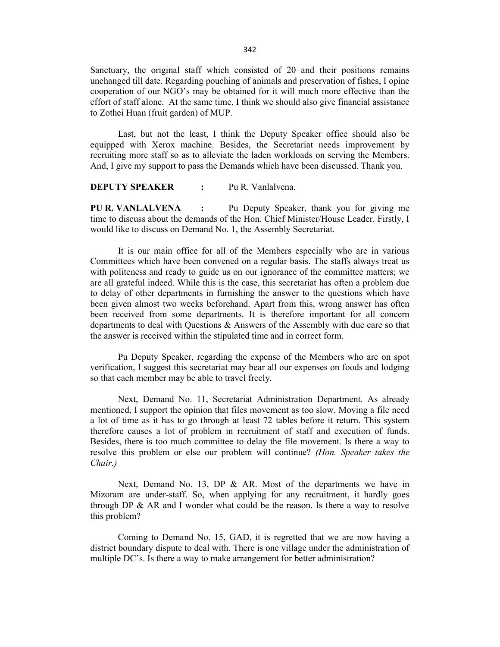Sanctuary, the original staff which consisted of 20 and their positions remains unchanged till date. Regarding pouching of animals and preservation of fishes, I opine cooperation of our NGO's may be obtained for it will much more effective than the effort of staff alone. At the same time, I think we should also give financial assistance to Zothei Huan (fruit garden) of MUP.

 Last, but not the least, I think the Deputy Speaker office should also be equipped with Xerox machine. Besides, the Secretariat needs improvement by recruiting more staff so as to alleviate the laden workloads on serving the Members. And, I give my support to pass the Demands which have been discussed. Thank you.

#### **DEPUTY SPEAKER :** Pu R. Vanlalvena.

PU R. VANLALVENA : Pu Deputy Speaker, thank you for giving me time to discuss about the demands of the Hon. Chief Minister/House Leader. Firstly, I would like to discuss on Demand No. 1, the Assembly Secretariat.

 It is our main office for all of the Members especially who are in various Committees which have been convened on a regular basis. The staffs always treat us with politeness and ready to guide us on our ignorance of the committee matters; we are all grateful indeed. While this is the case, this secretariat has often a problem due to delay of other departments in furnishing the answer to the questions which have been given almost two weeks beforehand. Apart from this, wrong answer has often been received from some departments. It is therefore important for all concern departments to deal with Questions & Answers of the Assembly with due care so that the answer is received within the stipulated time and in correct form.

 Pu Deputy Speaker, regarding the expense of the Members who are on spot verification, I suggest this secretariat may bear all our expenses on foods and lodging so that each member may be able to travel freely.

 Next, Demand No. 11, Secretariat Administration Department. As already mentioned, I support the opinion that files movement as too slow. Moving a file need a lot of time as it has to go through at least 72 tables before it return. This system therefore causes a lot of problem in recruitment of staff and execution of funds. Besides, there is too much committee to delay the file movement. Is there a way to resolve this problem or else our problem will continue? (Hon. Speaker takes the Chair.)

Next, Demand No. 13, DP & AR. Most of the departments we have in Mizoram are under-staff. So, when applying for any recruitment, it hardly goes through DP  $\&$  AR and I wonder what could be the reason. Is there a way to resolve this problem?

 Coming to Demand No. 15, GAD, it is regretted that we are now having a district boundary dispute to deal with. There is one village under the administration of multiple DC's. Is there a way to make arrangement for better administration?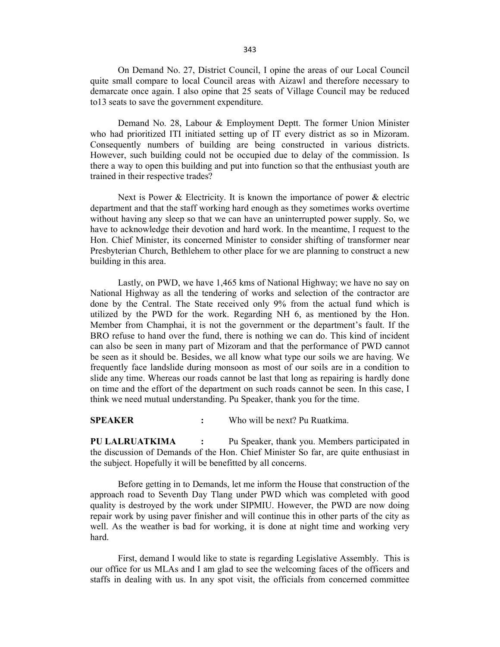On Demand No. 27, District Council, I opine the areas of our Local Council quite small compare to local Council areas with Aizawl and therefore necessary to demarcate once again. I also opine that 25 seats of Village Council may be reduced to13 seats to save the government expenditure.

 Demand No. 28, Labour & Employment Deptt. The former Union Minister who had prioritized ITI initiated setting up of IT every district as so in Mizoram. Consequently numbers of building are being constructed in various districts. However, such building could not be occupied due to delay of the commission. Is there a way to open this building and put into function so that the enthusiast youth are trained in their respective trades?

Next is Power & Electricity. It is known the importance of power & electric department and that the staff working hard enough as they sometimes works overtime without having any sleep so that we can have an uninterrupted power supply. So, we have to acknowledge their devotion and hard work. In the meantime, I request to the Hon. Chief Minister, its concerned Minister to consider shifting of transformer near Presbyterian Church, Bethlehem to other place for we are planning to construct a new building in this area.

 Lastly, on PWD, we have 1,465 kms of National Highway; we have no say on National Highway as all the tendering of works and selection of the contractor are done by the Central. The State received only 9% from the actual fund which is utilized by the PWD for the work. Regarding NH 6, as mentioned by the Hon. Member from Champhai, it is not the government or the department's fault. If the BRO refuse to hand over the fund, there is nothing we can do. This kind of incident can also be seen in many part of Mizoram and that the performance of PWD cannot be seen as it should be. Besides, we all know what type our soils we are having. We frequently face landslide during monsoon as most of our soils are in a condition to slide any time. Whereas our roads cannot be last that long as repairing is hardly done on time and the effort of the department on such roads cannot be seen. In this case, I think we need mutual understanding. Pu Speaker, thank you for the time.

SPEAKER : Who will be next? Pu Ruatkima.

PU LALRUATKIMA : Pu Speaker, thank you. Members participated in the discussion of Demands of the Hon. Chief Minister So far, are quite enthusiast in the subject. Hopefully it will be benefitted by all concerns.

 Before getting in to Demands, let me inform the House that construction of the approach road to Seventh Day Tlang under PWD which was completed with good quality is destroyed by the work under SIPMIU. However, the PWD are now doing repair work by using paver finisher and will continue this in other parts of the city as well. As the weather is bad for working, it is done at night time and working very hard.

 First, demand I would like to state is regarding Legislative Assembly. This is our office for us MLAs and I am glad to see the welcoming faces of the officers and staffs in dealing with us. In any spot visit, the officials from concerned committee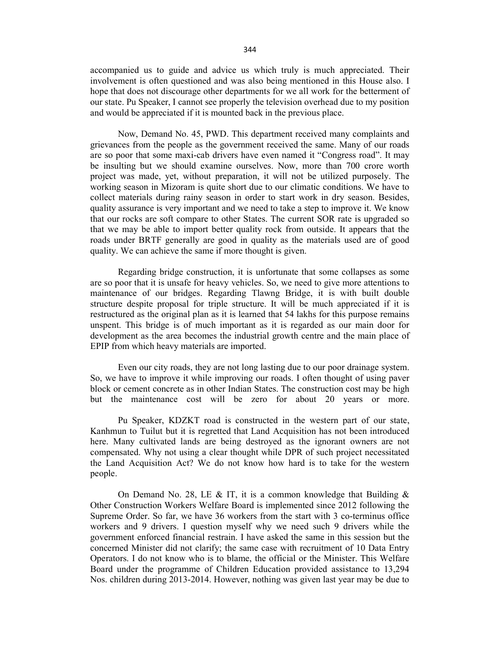accompanied us to guide and advice us which truly is much appreciated. Their involvement is often questioned and was also being mentioned in this House also. I hope that does not discourage other departments for we all work for the betterment of our state. Pu Speaker, I cannot see properly the television overhead due to my position and would be appreciated if it is mounted back in the previous place.

 Now, Demand No. 45, PWD. This department received many complaints and grievances from the people as the government received the same. Many of our roads are so poor that some maxi-cab drivers have even named it "Congress road". It may be insulting but we should examine ourselves. Now, more than 700 crore worth project was made, yet, without preparation, it will not be utilized purposely. The working season in Mizoram is quite short due to our climatic conditions. We have to collect materials during rainy season in order to start work in dry season. Besides, quality assurance is very important and we need to take a step to improve it. We know that our rocks are soft compare to other States. The current SOR rate is upgraded so that we may be able to import better quality rock from outside. It appears that the roads under BRTF generally are good in quality as the materials used are of good quality. We can achieve the same if more thought is given.

 Regarding bridge construction, it is unfortunate that some collapses as some are so poor that it is unsafe for heavy vehicles. So, we need to give more attentions to maintenance of our bridges. Regarding Tlawng Bridge, it is with built double structure despite proposal for triple structure. It will be much appreciated if it is restructured as the original plan as it is learned that 54 lakhs for this purpose remains unspent. This bridge is of much important as it is regarded as our main door for development as the area becomes the industrial growth centre and the main place of EPIP from which heavy materials are imported.

 Even our city roads, they are not long lasting due to our poor drainage system. So, we have to improve it while improving our roads. I often thought of using paver block or cement concrete as in other Indian States. The construction cost may be high but the maintenance cost will be zero for about 20 years or more.

 Pu Speaker, KDZKT road is constructed in the western part of our state, Kanhmun to Tuilut but it is regretted that Land Acquisition has not been introduced here. Many cultivated lands are being destroyed as the ignorant owners are not compensated. Why not using a clear thought while DPR of such project necessitated the Land Acquisition Act? We do not know how hard is to take for the western people.

On Demand No. 28, LE & IT, it is a common knowledge that Building  $\&$ Other Construction Workers Welfare Board is implemented since 2012 following the Supreme Order. So far, we have 36 workers from the start with 3 co-terminus office workers and 9 drivers. I question myself why we need such 9 drivers while the government enforced financial restrain. I have asked the same in this session but the concerned Minister did not clarify; the same case with recruitment of 10 Data Entry Operators. I do not know who is to blame, the official or the Minister. This Welfare Board under the programme of Children Education provided assistance to 13,294 Nos. children during 2013-2014. However, nothing was given last year may be due to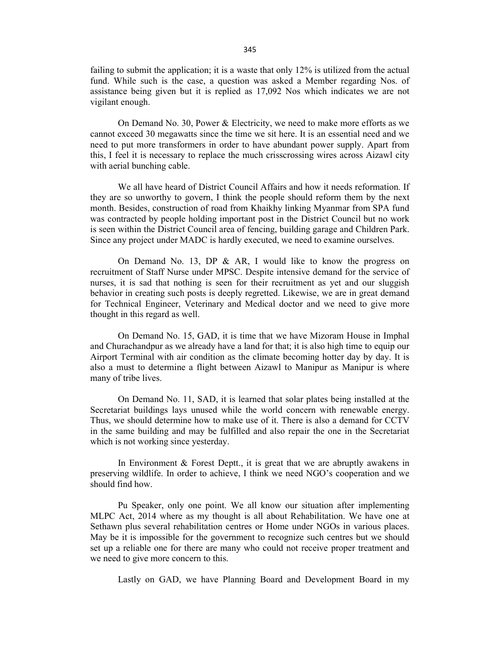failing to submit the application; it is a waste that only 12% is utilized from the actual fund. While such is the case, a question was asked a Member regarding Nos. of assistance being given but it is replied as 17,092 Nos which indicates we are not vigilant enough.

 On Demand No. 30, Power & Electricity, we need to make more efforts as we cannot exceed 30 megawatts since the time we sit here. It is an essential need and we need to put more transformers in order to have abundant power supply. Apart from this, I feel it is necessary to replace the much crisscrossing wires across Aizawl city with aerial bunching cable.

 We all have heard of District Council Affairs and how it needs reformation. If they are so unworthy to govern, I think the people should reform them by the next month. Besides, construction of road from Khaikhy linking Myanmar from SPA fund was contracted by people holding important post in the District Council but no work is seen within the District Council area of fencing, building garage and Children Park. Since any project under MADC is hardly executed, we need to examine ourselves.

 On Demand No. 13, DP & AR, I would like to know the progress on recruitment of Staff Nurse under MPSC. Despite intensive demand for the service of nurses, it is sad that nothing is seen for their recruitment as yet and our sluggish behavior in creating such posts is deeply regretted. Likewise, we are in great demand for Technical Engineer, Veterinary and Medical doctor and we need to give more thought in this regard as well.

 On Demand No. 15, GAD, it is time that we have Mizoram House in Imphal and Churachandpur as we already have a land for that; it is also high time to equip our Airport Terminal with air condition as the climate becoming hotter day by day. It is also a must to determine a flight between Aizawl to Manipur as Manipur is where many of tribe lives.

 On Demand No. 11, SAD, it is learned that solar plates being installed at the Secretariat buildings lays unused while the world concern with renewable energy. Thus, we should determine how to make use of it. There is also a demand for CCTV in the same building and may be fulfilled and also repair the one in the Secretariat which is not working since yesterday.

In Environment  $& Forest$  Deptt., it is great that we are abruptly awakens in preserving wildlife. In order to achieve, I think we need NGO's cooperation and we should find how.

 Pu Speaker, only one point. We all know our situation after implementing MLPC Act, 2014 where as my thought is all about Rehabilitation. We have one at Sethawn plus several rehabilitation centres or Home under NGOs in various places. May be it is impossible for the government to recognize such centres but we should set up a reliable one for there are many who could not receive proper treatment and we need to give more concern to this.

Lastly on GAD, we have Planning Board and Development Board in my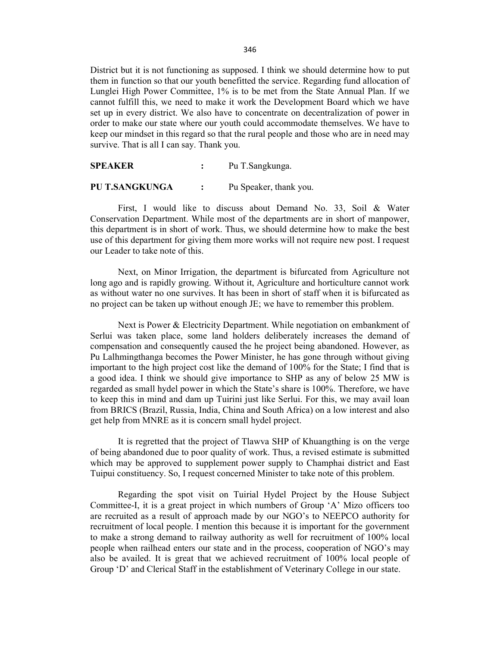District but it is not functioning as supposed. I think we should determine how to put them in function so that our youth benefitted the service. Regarding fund allocation of Lunglei High Power Committee, 1% is to be met from the State Annual Plan. If we cannot fulfill this, we need to make it work the Development Board which we have set up in every district. We also have to concentrate on decentralization of power in order to make our state where our youth could accommodate themselves. We have to keep our mindset in this regard so that the rural people and those who are in need may survive. That is all I can say. Thank you.

SPEAKER : Pu T.Sangkunga.

PU T.SANGKUNGA : Pu Speaker, thank you.

 First, I would like to discuss about Demand No. 33, Soil & Water Conservation Department. While most of the departments are in short of manpower, this department is in short of work. Thus, we should determine how to make the best use of this department for giving them more works will not require new post. I request our Leader to take note of this.

 Next, on Minor Irrigation, the department is bifurcated from Agriculture not long ago and is rapidly growing. Without it, Agriculture and horticulture cannot work as without water no one survives. It has been in short of staff when it is bifurcated as no project can be taken up without enough JE; we have to remember this problem.

 Next is Power & Electricity Department. While negotiation on embankment of Serlui was taken place, some land holders deliberately increases the demand of compensation and consequently caused the he project being abandoned. However, as Pu Lalhmingthanga becomes the Power Minister, he has gone through without giving important to the high project cost like the demand of 100% for the State; I find that is a good idea. I think we should give importance to SHP as any of below 25 MW is regarded as small hydel power in which the State's share is 100%. Therefore, we have to keep this in mind and dam up Tuirini just like Serlui. For this, we may avail loan from BRICS (Brazil, Russia, India, China and South Africa) on a low interest and also get help from MNRE as it is concern small hydel project.

 It is regretted that the project of Tlawva SHP of Khuangthing is on the verge of being abandoned due to poor quality of work. Thus, a revised estimate is submitted which may be approved to supplement power supply to Champhai district and East Tuipui constituency. So, I request concerned Minister to take note of this problem.

 Regarding the spot visit on Tuirial Hydel Project by the House Subject Committee-I, it is a great project in which numbers of Group 'A' Mizo officers too are recruited as a result of approach made by our NGO's to NEEPCO authority for recruitment of local people. I mention this because it is important for the government to make a strong demand to railway authority as well for recruitment of 100% local people when railhead enters our state and in the process, cooperation of NGO's may also be availed. It is great that we achieved recruitment of 100% local people of Group 'D' and Clerical Staff in the establishment of Veterinary College in our state.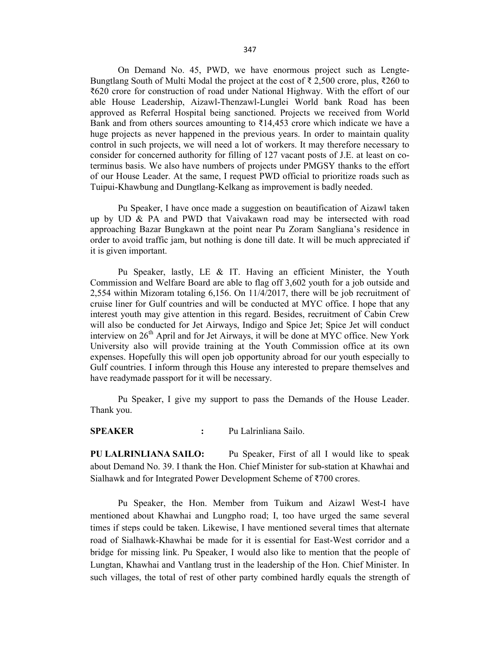On Demand No. 45, PWD, we have enormous project such as Lengte-Bungtlang South of Multi Modal the project at the cost of ₹ 2,500 crore, plus, ₹260 to ₹620 crore for construction of road under National Highway. With the effort of our able House Leadership, Aizawl-Thenzawl-Lunglei World bank Road has been approved as Referral Hospital being sanctioned. Projects we received from World Bank and from others sources amounting to  $\bar{\tau}$ 14,453 crore which indicate we have a huge projects as never happened in the previous years. In order to maintain quality control in such projects, we will need a lot of workers. It may therefore necessary to consider for concerned authority for filling of 127 vacant posts of J.E. at least on coterminus basis. We also have numbers of projects under PMGSY thanks to the effort of our House Leader. At the same, I request PWD official to prioritize roads such as Tuipui-Khawbung and Dungtlang-Kelkang as improvement is badly needed.

 Pu Speaker, I have once made a suggestion on beautification of Aizawl taken up by UD & PA and PWD that Vaivakawn road may be intersected with road approaching Bazar Bungkawn at the point near Pu Zoram Sangliana's residence in order to avoid traffic jam, but nothing is done till date. It will be much appreciated if it is given important.

 Pu Speaker, lastly, LE & IT. Having an efficient Minister, the Youth Commission and Welfare Board are able to flag off 3,602 youth for a job outside and 2,554 within Mizoram totaling 6,156. On 11/4/2017, there will be job recruitment of cruise liner for Gulf countries and will be conducted at MYC office. I hope that any interest youth may give attention in this regard. Besides, recruitment of Cabin Crew will also be conducted for Jet Airways, Indigo and Spice Jet; Spice Jet will conduct interview on 26<sup>th</sup> April and for Jet Airways, it will be done at MYC office. New York University also will provide training at the Youth Commission office at its own expenses. Hopefully this will open job opportunity abroad for our youth especially to Gulf countries. I inform through this House any interested to prepare themselves and have readymade passport for it will be necessary.

 Pu Speaker, I give my support to pass the Demands of the House Leader. Thank you.

SPEAKER : Pu Lalrinliana Sailo.

PU LALRINLIANA SAILO: Pu Speaker, First of all I would like to speak about Demand No. 39. I thank the Hon. Chief Minister for sub-station at Khawhai and Sialhawk and for Integrated Power Development Scheme of ₹700 crores.

 Pu Speaker, the Hon. Member from Tuikum and Aizawl West-I have mentioned about Khawhai and Lungpho road; I, too have urged the same several times if steps could be taken. Likewise, I have mentioned several times that alternate road of Sialhawk-Khawhai be made for it is essential for East-West corridor and a bridge for missing link. Pu Speaker, I would also like to mention that the people of Lungtan, Khawhai and Vantlang trust in the leadership of the Hon. Chief Minister. In such villages, the total of rest of other party combined hardly equals the strength of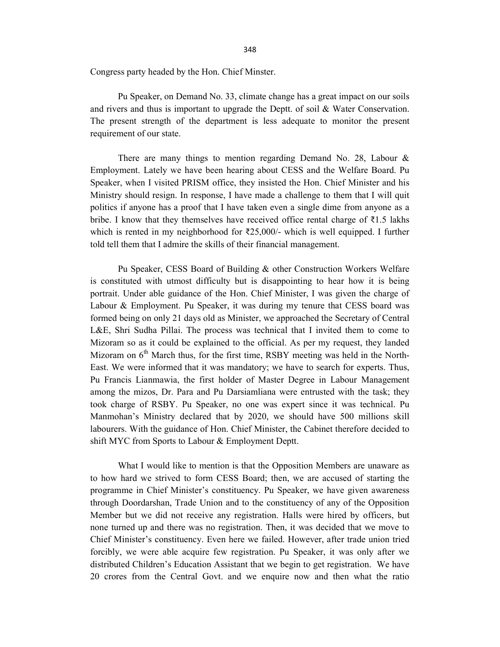Congress party headed by the Hon. Chief Minster.

 Pu Speaker, on Demand No. 33, climate change has a great impact on our soils and rivers and thus is important to upgrade the Deptt. of soil & Water Conservation. The present strength of the department is less adequate to monitor the present requirement of our state.

 There are many things to mention regarding Demand No. 28, Labour & Employment. Lately we have been hearing about CESS and the Welfare Board. Pu Speaker, when I visited PRISM office, they insisted the Hon. Chief Minister and his Ministry should resign. In response, I have made a challenge to them that I will quit politics if anyone has a proof that I have taken even a single dime from anyone as a bribe. I know that they themselves have received office rental charge of ₹1.5 lakhs which is rented in my neighborhood for  $\overline{\xi}25,000/$ - which is well equipped. I further told tell them that I admire the skills of their financial management.

 Pu Speaker, CESS Board of Building & other Construction Workers Welfare is constituted with utmost difficulty but is disappointing to hear how it is being portrait. Under able guidance of the Hon. Chief Minister, I was given the charge of Labour & Employment. Pu Speaker, it was during my tenure that CESS board was formed being on only 21 days old as Minister, we approached the Secretary of Central L&E, Shri Sudha Pillai. The process was technical that I invited them to come to Mizoram so as it could be explained to the official. As per my request, they landed Mizoram on  $6<sup>th</sup>$  March thus, for the first time, RSBY meeting was held in the North-East. We were informed that it was mandatory; we have to search for experts. Thus, Pu Francis Lianmawia, the first holder of Master Degree in Labour Management among the mizos, Dr. Para and Pu Darsiamliana were entrusted with the task; they took charge of RSBY. Pu Speaker, no one was expert since it was technical. Pu Manmohan's Ministry declared that by 2020, we should have 500 millions skill labourers. With the guidance of Hon. Chief Minister, the Cabinet therefore decided to shift MYC from Sports to Labour & Employment Deptt.

 What I would like to mention is that the Opposition Members are unaware as to how hard we strived to form CESS Board; then, we are accused of starting the programme in Chief Minister's constituency. Pu Speaker, we have given awareness through Doordarshan, Trade Union and to the constituency of any of the Opposition Member but we did not receive any registration. Halls were hired by officers, but none turned up and there was no registration. Then, it was decided that we move to Chief Minister's constituency. Even here we failed. However, after trade union tried forcibly, we were able acquire few registration. Pu Speaker, it was only after we distributed Children's Education Assistant that we begin to get registration. We have 20 crores from the Central Govt. and we enquire now and then what the ratio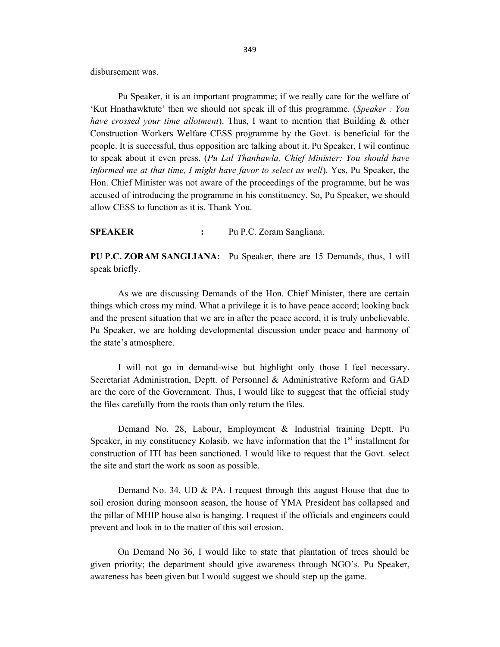disbursement was.

 Pu Speaker, it is an important programme; if we really care for the welfare of 'Kut Hnathawktute' then we should not speak ill of this programme. (Speaker : You have crossed your time allotment). Thus, I want to mention that Building & other Construction Workers Welfare CESS programme by the Govt. is beneficial for the people. It is successful, thus opposition are talking about it. Pu Speaker, I wil continue to speak about it even press. (Pu Lal Thanhawla, Chief Minister: You should have informed me at that time, I might have favor to select as well). Yes, Pu Speaker, the Hon. Chief Minister was not aware of the proceedings of the programme, but he was accused of introducing the programme in his constituency. So, Pu Speaker, we should allow CESS to function as it is. Thank You.

SPEAKER : Pu P.C. Zoram Sangliana.

PU P.C. ZORAM SANGLIANA: Pu Speaker, there are 15 Demands, thus, I will speak briefly.

 As we are discussing Demands of the Hon. Chief Minister, there are certain things which cross my mind. What a privilege it is to have peace accord; looking back and the present situation that we are in after the peace accord, it is truly unbelievable. Pu Speaker, we are holding developmental discussion under peace and harmony of the state's atmosphere.

 I will not go in demand-wise but highlight only those I feel necessary. Secretariat Administration, Deptt. of Personnel & Administrative Reform and GAD are the core of the Government. Thus, I would like to suggest that the official study the files carefully from the roots than only return the files.

 Demand No. 28, Labour, Employment & Industrial training Deptt. Pu Speaker, in my constituency Kolasib, we have information that the  $1<sup>st</sup>$  installment for construction of ITI has been sanctioned. I would like to request that the Govt. select the site and start the work as soon as possible.

 Demand No. 34, UD & PA. I request through this august House that due to soil erosion during monsoon season, the house of YMA President has collapsed and the pillar of MHIP house also is hanging. I request if the officials and engineers could prevent and look in to the matter of this soil erosion.

 On Demand No 36, I would like to state that plantation of trees should be given priority; the department should give awareness through NGO's. Pu Speaker, awareness has been given but I would suggest we should step up the game.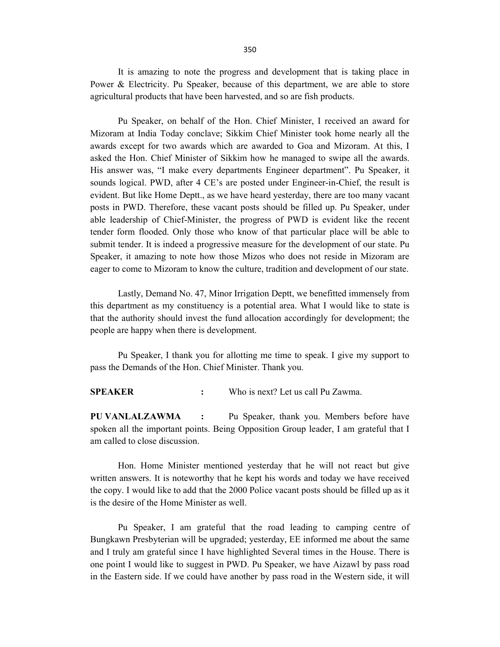It is amazing to note the progress and development that is taking place in Power & Electricity. Pu Speaker, because of this department, we are able to store agricultural products that have been harvested, and so are fish products.

 Pu Speaker, on behalf of the Hon. Chief Minister, I received an award for Mizoram at India Today conclave; Sikkim Chief Minister took home nearly all the awards except for two awards which are awarded to Goa and Mizoram. At this, I asked the Hon. Chief Minister of Sikkim how he managed to swipe all the awards. His answer was, "I make every departments Engineer department". Pu Speaker, it sounds logical. PWD, after 4 CE's are posted under Engineer-in-Chief, the result is evident. But like Home Deptt., as we have heard yesterday, there are too many vacant posts in PWD. Therefore, these vacant posts should be filled up. Pu Speaker, under able leadership of Chief-Minister, the progress of PWD is evident like the recent tender form flooded. Only those who know of that particular place will be able to submit tender. It is indeed a progressive measure for the development of our state. Pu Speaker, it amazing to note how those Mizos who does not reside in Mizoram are eager to come to Mizoram to know the culture, tradition and development of our state.

 Lastly, Demand No. 47, Minor Irrigation Deptt, we benefitted immensely from this department as my constituency is a potential area. What I would like to state is that the authority should invest the fund allocation accordingly for development; the people are happy when there is development.

 Pu Speaker, I thank you for allotting me time to speak. I give my support to pass the Demands of the Hon. Chief Minister. Thank you.

SPEAKER : Who is next? Let us call Pu Zawma.

PU VANLALZAWMA : Pu Speaker, thank you. Members before have spoken all the important points. Being Opposition Group leader, I am grateful that I am called to close discussion.

 Hon. Home Minister mentioned yesterday that he will not react but give written answers. It is noteworthy that he kept his words and today we have received the copy. I would like to add that the 2000 Police vacant posts should be filled up as it is the desire of the Home Minister as well.

 Pu Speaker, I am grateful that the road leading to camping centre of Bungkawn Presbyterian will be upgraded; yesterday, EE informed me about the same and I truly am grateful since I have highlighted Several times in the House. There is one point I would like to suggest in PWD. Pu Speaker, we have Aizawl by pass road in the Eastern side. If we could have another by pass road in the Western side, it will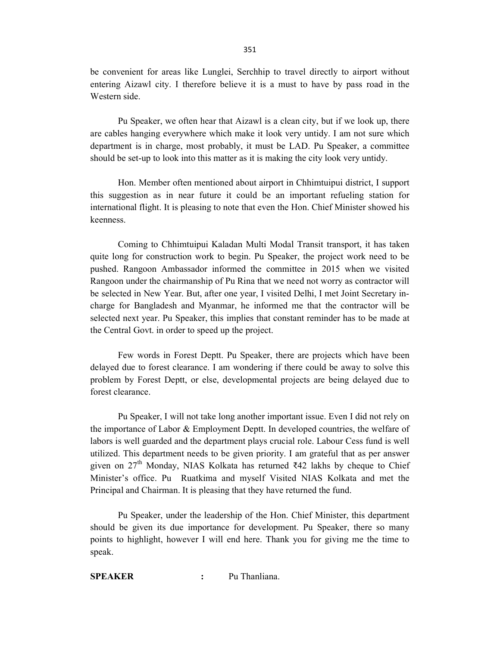be convenient for areas like Lunglei, Serchhip to travel directly to airport without entering Aizawl city. I therefore believe it is a must to have by pass road in the Western side.

 Pu Speaker, we often hear that Aizawl is a clean city, but if we look up, there are cables hanging everywhere which make it look very untidy. I am not sure which department is in charge, most probably, it must be LAD. Pu Speaker, a committee should be set-up to look into this matter as it is making the city look very untidy.

 Hon. Member often mentioned about airport in Chhimtuipui district, I support this suggestion as in near future it could be an important refueling station for international flight. It is pleasing to note that even the Hon. Chief Minister showed his keenness.

 Coming to Chhimtuipui Kaladan Multi Modal Transit transport, it has taken quite long for construction work to begin. Pu Speaker, the project work need to be pushed. Rangoon Ambassador informed the committee in 2015 when we visited Rangoon under the chairmanship of Pu Rina that we need not worry as contractor will be selected in New Year. But, after one year, I visited Delhi, I met Joint Secretary incharge for Bangladesh and Myanmar, he informed me that the contractor will be selected next year. Pu Speaker, this implies that constant reminder has to be made at the Central Govt. in order to speed up the project.

 Few words in Forest Deptt. Pu Speaker, there are projects which have been delayed due to forest clearance. I am wondering if there could be away to solve this problem by Forest Deptt, or else, developmental projects are being delayed due to forest clearance.

 Pu Speaker, I will not take long another important issue. Even I did not rely on the importance of Labor & Employment Deptt. In developed countries, the welfare of labors is well guarded and the department plays crucial role. Labour Cess fund is well utilized. This department needs to be given priority. I am grateful that as per answer given on  $27<sup>th</sup>$  Monday, NIAS Kolkata has returned ₹42 lakhs by cheque to Chief Minister's office. Pu Ruatkima and myself Visited NIAS Kolkata and met the Principal and Chairman. It is pleasing that they have returned the fund.

 Pu Speaker, under the leadership of the Hon. Chief Minister, this department should be given its due importance for development. Pu Speaker, there so many points to highlight, however I will end here. Thank you for giving me the time to speak.

SPEAKER : Pu Thanliana.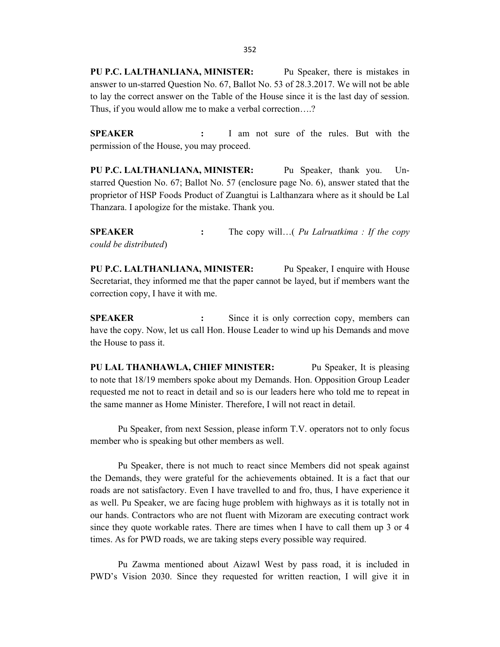PU P.C. LALTHANLIANA, MINISTER: Pu Speaker, there is mistakes in answer to un-starred Question No. 67, Ballot No. 53 of 28.3.2017. We will not be able to lay the correct answer on the Table of the House since it is the last day of session. Thus, if you would allow me to make a verbal correction….?

SPEAKER : I am not sure of the rules. But with the permission of the House, you may proceed.

PU P.C. LALTHANLIANA, MINISTER: Pu Speaker, thank you. Unstarred Question No. 67; Ballot No. 57 (enclosure page No. 6), answer stated that the proprietor of HSP Foods Product of Zuangtui is Lalthanzara where as it should be Lal Thanzara. I apologize for the mistake. Thank you.

**SPEAKER** : The copy will...( *Pu Lalruatkima : If the copy* could be distributed)

PU P.C. LALTHANLIANA, MINISTER: Pu Speaker, I enquire with House Secretariat, they informed me that the paper cannot be layed, but if members want the correction copy, I have it with me.

SPEAKER : Since it is only correction copy, members can have the copy. Now, let us call Hon. House Leader to wind up his Demands and move the House to pass it.

PU LAL THANHAWLA, CHIEF MINISTER: Pu Speaker, It is pleasing to note that 18/19 members spoke about my Demands. Hon. Opposition Group Leader requested me not to react in detail and so is our leaders here who told me to repeat in the same manner as Home Minister. Therefore, I will not react in detail.

 Pu Speaker, from next Session, please inform T.V. operators not to only focus member who is speaking but other members as well.

 Pu Speaker, there is not much to react since Members did not speak against the Demands, they were grateful for the achievements obtained. It is a fact that our roads are not satisfactory. Even I have travelled to and fro, thus, I have experience it as well. Pu Speaker, we are facing huge problem with highways as it is totally not in our hands. Contractors who are not fluent with Mizoram are executing contract work since they quote workable rates. There are times when I have to call them up 3 or 4 times. As for PWD roads, we are taking steps every possible way required.

 Pu Zawma mentioned about Aizawl West by pass road, it is included in PWD's Vision 2030. Since they requested for written reaction, I will give it in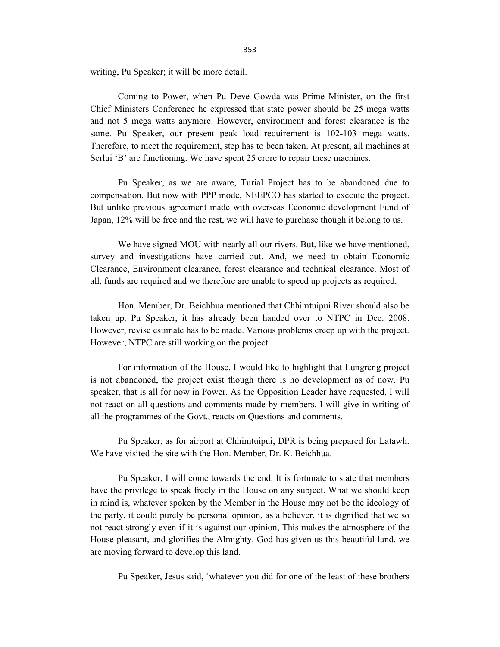writing, Pu Speaker; it will be more detail.

 Coming to Power, when Pu Deve Gowda was Prime Minister, on the first Chief Ministers Conference he expressed that state power should be 25 mega watts and not 5 mega watts anymore. However, environment and forest clearance is the same. Pu Speaker, our present peak load requirement is 102-103 mega watts. Therefore, to meet the requirement, step has to been taken. At present, all machines at Serlui 'B' are functioning. We have spent 25 crore to repair these machines.

 Pu Speaker, as we are aware, Turial Project has to be abandoned due to compensation. But now with PPP mode, NEEPCO has started to execute the project. But unlike previous agreement made with overseas Economic development Fund of Japan, 12% will be free and the rest, we will have to purchase though it belong to us.

We have signed MOU with nearly all our rivers. But, like we have mentioned, survey and investigations have carried out. And, we need to obtain Economic Clearance, Environment clearance, forest clearance and technical clearance. Most of all, funds are required and we therefore are unable to speed up projects as required.

 Hon. Member, Dr. Beichhua mentioned that Chhimtuipui River should also be taken up. Pu Speaker, it has already been handed over to NTPC in Dec. 2008. However, revise estimate has to be made. Various problems creep up with the project. However, NTPC are still working on the project.

 For information of the House, I would like to highlight that Lungreng project is not abandoned, the project exist though there is no development as of now. Pu speaker, that is all for now in Power. As the Opposition Leader have requested, I will not react on all questions and comments made by members. I will give in writing of all the programmes of the Govt., reacts on Questions and comments.

 Pu Speaker, as for airport at Chhimtuipui, DPR is being prepared for Latawh. We have visited the site with the Hon. Member, Dr. K. Beichhua.

 Pu Speaker, I will come towards the end. It is fortunate to state that members have the privilege to speak freely in the House on any subject. What we should keep in mind is, whatever spoken by the Member in the House may not be the ideology of the party, it could purely be personal opinion, as a believer, it is dignified that we so not react strongly even if it is against our opinion, This makes the atmosphere of the House pleasant, and glorifies the Almighty. God has given us this beautiful land, we are moving forward to develop this land.

Pu Speaker, Jesus said, 'whatever you did for one of the least of these brothers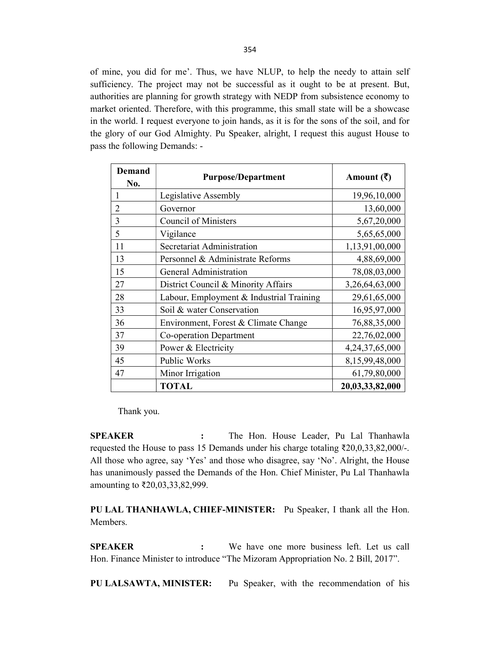of mine, you did for me'. Thus, we have NLUP, to help the needy to attain self sufficiency. The project may not be successful as it ought to be at present. But, authorities are planning for growth strategy with NEDP from subsistence economy to market oriented. Therefore, with this programme, this small state will be a showcase in the world. I request everyone to join hands, as it is for the sons of the soil, and for the glory of our God Almighty. Pu Speaker, alright, I request this august House to pass the following Demands: -

| Demand<br>No.  | <b>Purpose/Department</b>                | Amount $(\bar{\bar{\zeta}})$ |
|----------------|------------------------------------------|------------------------------|
| 1              | Legislative Assembly                     | 19,96,10,000                 |
| $\overline{2}$ | Governor                                 | 13,60,000                    |
| 3              | <b>Council of Ministers</b>              | 5,67,20,000                  |
| 5              | Vigilance                                | 5,65,65,000                  |
| 11             | Secretariat Administration               | 1,13,91,00,000               |
| 13             | Personnel & Administrate Reforms         | 4,88,69,000                  |
| 15             | General Administration                   | 78,08,03,000                 |
| 27             | District Council & Minority Affairs      | 3,26,64,63,000               |
| 28             | Labour, Employment & Industrial Training | 29,61,65,000                 |
| 33             | Soil & water Conservation                | 16,95,97,000                 |
| 36             | Environment, Forest & Climate Change     | 76,88,35,000                 |
| 37             | Co-operation Department                  | 22,76,02,000                 |
| 39             | Power & Electricity                      | 4,24,37,65,000               |
| 45             | Public Works                             | 8,15,99,48,000               |
| 47             | Minor Irrigation                         | 61,79,80,000                 |
|                | <b>TOTAL</b>                             | 20,03,33,82,000              |

Thank you.

SPEAKER : The Hon. House Leader, Pu Lal Thanhawla requested the House to pass 15 Demands under his charge totaling ₹20,0,33,82,000/-. All those who agree, say 'Yes' and those who disagree, say 'No'. Alright, the House has unanimously passed the Demands of the Hon. Chief Minister, Pu Lal Thanhawla amounting to ₹20,03,33,82,999.

PU LAL THANHAWLA, CHIEF-MINISTER: Pu Speaker, I thank all the Hon. Members.

SPEAKER : We have one more business left. Let us call Hon. Finance Minister to introduce "The Mizoram Appropriation No. 2 Bill, 2017".

PU LALSAWTA, MINISTER: Pu Speaker, with the recommendation of his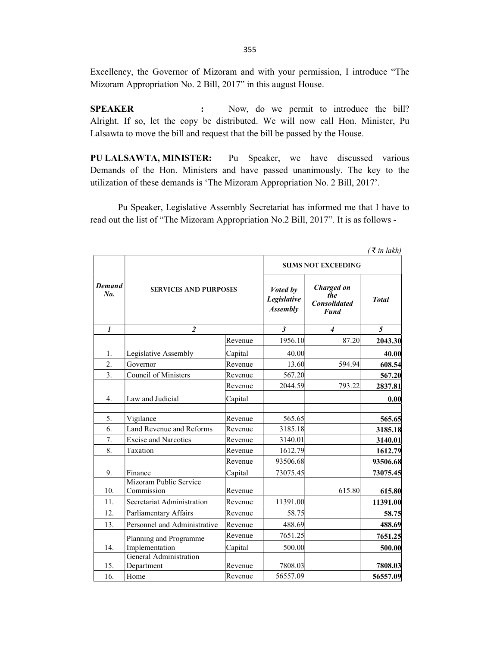Excellency, the Governor of Mizoram and with your permission, I introduce "The Mizoram Appropriation No. 2 Bill, 2017" in this august House.

SPEAKER : Now, do we permit to introduce the bill? Alright. If so, let the copy be distributed. We will now call Hon. Minister, Pu Lalsawta to move the bill and request that the bill be passed by the House.

PU LALSAWTA, MINISTER: Pu Speaker, we have discussed various Demands of the Hon. Ministers and have passed unanimously. The key to the utilization of these demands is 'The Mizoram Appropriation No. 2 Bill, 2017'.

 Pu Speaker, Legislative Assembly Secretariat has informed me that I have to read out the list of "The Mizoram Appropriation No.2 Bill, 2017". It is as follows -

|                      |                                      |         |                                            |                                                         | ( ₹ in lakh) |
|----------------------|--------------------------------------|---------|--------------------------------------------|---------------------------------------------------------|--------------|
|                      |                                      |         |                                            | <b>SUMS NOT EXCEEDING</b>                               |              |
| <b>Demand</b><br>No. | <b>SERVICES AND PURPOSES</b>         |         | Voted by<br>Legislative<br><b>Assembly</b> | Charged on<br>the<br><b>Consolidated</b><br><b>Fund</b> | <b>Total</b> |
| $\mathbf{I}$         | $\overline{2}$                       |         | $\mathfrak{z}$                             | $\boldsymbol{4}$                                        | $5^{\circ}$  |
|                      |                                      | Revenue | 1956.10                                    | 87.20                                                   | 2043.30      |
| 1.                   | Legislative Assembly                 | Capital | 40.00                                      |                                                         | 40.00        |
| 2.                   | Governor                             | Revenue | 13.60                                      | 594.94                                                  | 608.54       |
| 3.                   | Council of Ministers                 | Revenue | 567.20                                     |                                                         | 567.20       |
|                      |                                      | Revenue | 2044.59                                    | 793.22                                                  | 2837.81      |
| 4.                   | Law and Judicial                     | Capital |                                            |                                                         | 0.00         |
| 5.                   | Vigilance                            | Revenue | 565.65                                     |                                                         | 565.65       |
| 6.                   | Land Revenue and Reforms             | Revenue | 3185.18                                    |                                                         | 3185.18      |
| 7.                   | <b>Excise and Narcotics</b>          | Revenue | 3140.01                                    |                                                         | 3140.01      |
| 8.                   | Taxation                             | Revenue | 1612.79                                    |                                                         | 1612.79      |
|                      |                                      | Revenue | 93506.68                                   |                                                         | 93506.68     |
| 9.                   | Finance                              | Capital | 73075.45                                   |                                                         | 73075.45     |
| 10.                  | Mizoram Public Service<br>Commission | Revenue |                                            | 615.80                                                  | 615.80       |
| 11.                  | Secretariat Administration           | Revenue | 11391.00                                   |                                                         | 11391.00     |
| 12.                  | Parliamentary Affairs                | Revenue | 58.75                                      |                                                         | 58.75        |
| 13.                  | Personnel and Administrative         | Revenue | 488.69                                     |                                                         | 488.69       |
|                      | Planning and Programme               | Revenue | 7651.25                                    |                                                         | 7651.25      |
| 14.                  | Implementation                       | Capital | 500.00                                     |                                                         | 500.00       |
| 15.                  | General Administration<br>Department | Revenue | 7808.03                                    |                                                         | 7808.03      |
| 16.                  | Home                                 | Revenue | 56557.09                                   |                                                         | 56557.09     |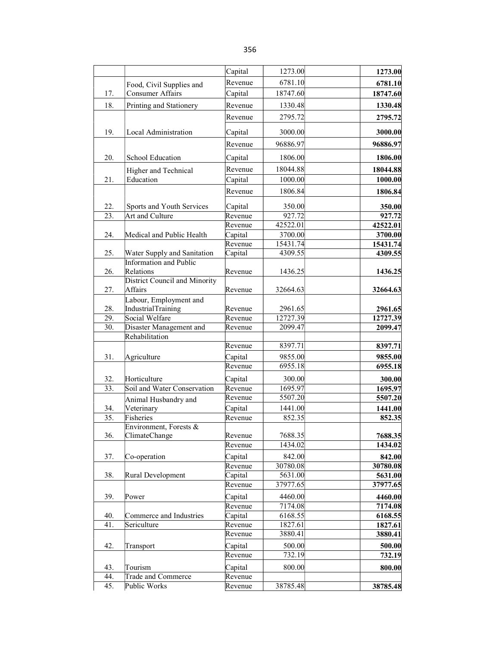|     |                               | Capital | 1273.00  | 1273.00  |
|-----|-------------------------------|---------|----------|----------|
|     | Food, Civil Supplies and      | Revenue | 6781.10  | 6781.10  |
| 17. | <b>Consumer Affairs</b>       | Capital | 18747.60 | 18747.60 |
| 18. | Printing and Stationery       | Revenue | 1330.48  | 1330.48  |
|     |                               |         |          |          |
|     |                               | Revenue | 2795.72  | 2795.72  |
| 19. | Local Administration          | Capital | 3000.00  | 3000.00  |
|     |                               | Revenue | 96886.97 | 96886.97 |
| 20. | School Education              | Capital | 1806.00  | 1806.00  |
|     | Higher and Technical          | Revenue | 18044.88 | 18044.88 |
| 21. | Education                     | Capital | 1000.00  | 1000.00  |
|     |                               | Revenue | 1806.84  | 1806.84  |
| 22. | Sports and Youth Services     | Capital | 350.00   | 350.00   |
| 23. | Art and Culture               | Revenue | 927.72   | 927.72   |
|     |                               | Revenue | 42522.01 | 42522.01 |
| 24. | Medical and Public Health     | Capital | 3700.00  | 3700.00  |
|     |                               | Revenue | 15431.74 | 15431.74 |
| 25. | Water Supply and Sanitation   | Capital | 4309.55  | 4309.55  |
|     | Information and Public        |         |          |          |
| 26. | Relations                     | Revenue | 1436.25  | 1436.25  |
|     | District Council and Minority |         |          |          |
| 27. | Affairs                       | Revenue | 32664.63 | 32664.63 |
|     | Labour, Employment and        |         |          |          |
| 28. | IndustrialTraining            | Revenue | 2961.65  | 2961.65  |
| 29. | Social Welfare                | Revenue | 12727.39 | 12727.39 |
| 30. | Disaster Management and       | Revenue | 2099.47  | 2099.47  |
|     | Rehabilitation                |         |          |          |
| 31. |                               | Revenue | 8397.71  | 8397.71  |
|     | Agriculture                   | Capital | 9855.00  | 9855.00  |
|     |                               | Revenue | 6955.18  | 6955.18  |
| 32. | Horticulture                  | Capital | 300.00   | 300.00   |
| 33. | Soil and Water Conservation   | Revenue | 1695.97  | 1695.97  |
|     | Animal Husbandry and          | Revenue | 5507.20  | 5507.20  |
| 34. | Veterinary                    | Capital | 1441.00  | 1441.00  |
| 35. | Fisheries                     | Revenue | 852.35   | 852.35   |
|     | Environment, Forests &        |         |          |          |
| 36. | ClimateChange                 | Revenue | 7688.35  | 7688.35  |
|     |                               | Revenue | 1434.02  | 1434.02  |
| 37. | Co-operation                  | Capital | 842.00   | 842.00   |
|     |                               | Revenue | 30780.08 | 30780.08 |
| 38. | Rural Development             | Capital | 5631.00  | 5631.00  |
|     |                               | Revenue | 37977.65 | 37977.65 |
| 39. | Power                         | Capital | 4460.00  | 4460.00  |
|     |                               | Revenue | 7174.08  | 7174.08  |
| 40. | Commerce and Industries       | Capital | 6168.55  | 6168.55  |
| 41. | Sericulture                   | Revenue | 1827.61  | 1827.61  |
|     |                               | Revenue | 3880.41  | 3880.41  |
| 42. | Transport                     | Capital | 500.00   | 500.00   |
|     |                               | Revenue | 732.19   | 732.19   |
| 43. | Tourism                       | Capital | 800.00   | 800.00   |
| 44. | Trade and Commerce            | Revenue |          |          |
| 45. | Public Works                  | Revenue | 38785.48 | 38785.48 |